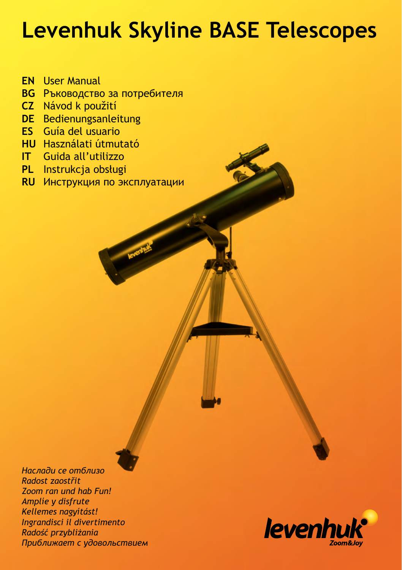# **Levenhuk Skyline BASE Telescopes**

- User Manual **EN**
- Ръководство за потребителя **BG**
- Návod k použití **CZ**
- Bedienungsanleitung **DE**
- Guía del usuario **ES**
- **HU** Használati útmutató
- Guida all'utilizzo **IT**
- Instrukcja obsługi **PL**
- Инструкция по эксплуатации **RU**

*Наслади се отблизо Radost zaostřit Zoom ran und hab Fun! Amplíe y disfrute Kellemes nagyítást! Ingrandisci il divertimento Radość przybliżania Приближает с удовольствием*

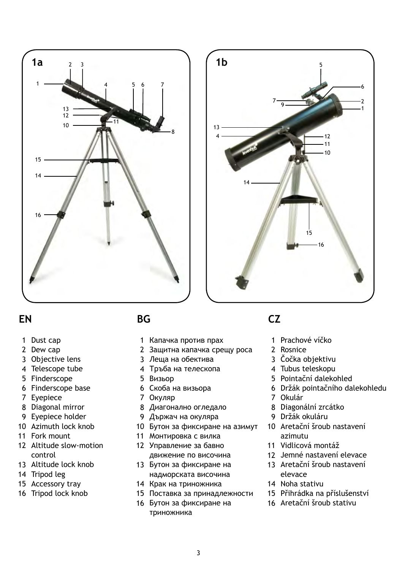



#### **EN BG CZ**

- 1 Dust cap
- 2 Dew cap
- Objective lens 3
- Telescope tube 4
- 5 Finderscope
- 6 Finderscope base
- Eyepiece 7
- 8 Diagonal mirror
- Eyepiece holder 9
- 10 Azimuth lock knob
- 11 Fork mount
- 12 Altitude slow-motion control
- 13 Altitude lock knob
- 14 Tripod leg
- 15 Accessory tray
- 16 Tripod lock knob

- Капачка против прах 1
- Защитна капачка срещу роса 2
- Леща на обектива 3
- Тръба на телескопа 4
- Визьор 5
- 6 Скоба на визьора
- Окуляр 7
- Диагонално огледало 8
- Държач на окуляра 9
- 10 Бутон за фиксиране на азимут
- 11 Монтировка с вилка
- Управление за бавно 12 движение по височина
- 13 Бутон за фиксиране на надморската височина
- 14 Крак на триножника
- 15 Поставка за принадлежности
- 16 Бутон за фиксиране на триножника

- 1 Prachové víčko
- Rosnice 2
- 3 Čočka objektivu
- Tubus teleskopu 4
- Pointační dalekohled 5
- Držák pointačního dalekohledu 6
- 7 Okulár
- 8 Diagonální zrcátko
- 9 Držák okuláru
- 10 Aretační šroub nastavení azimutu
- Vidlicová montáž 11
- 12 Jemné nastavení elevace
- 13 Aretační šroub nastavení elevace
- 14 Noha stativu
- Přihrádka na příslušenství 15
- 16 Aretační šroub stativu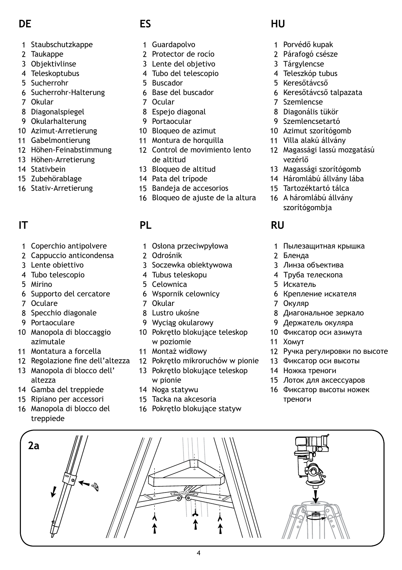## **DE**

- Staubschutzkappe 1
- 2 Taukappe
- Objektivlinse 3
- Teleskoptubus 4
- Sucherrohr 5
- 6 Sucherrohr-Halterung
- 7 Okular
- Diagonalspiegel 8
- 9 Okularhalterung
- 10 Azimut-Arretierung
- 11 Gabelmontierung
- 12 Höhen-Feinabstimmung
- 13 Höhen-Arretierung
- 14 Stativbein
- 15 Zubehörablage
- 16 Stativ-Arretierung

## **IT**

- Coperchio antipolvere 1
- Cappuccio anticondensa 2
- Lente obiettivo 3
- Tubo telescopio 4
- Mirino 5
- 6 Supporto del cercatore
- 7 Oculare

**2a**

- 8 Specchio diagonale
- 9 Portaoculare
- 10 Manopola di bloccaggio azimutale
- Montatura a forcella 11
- 12 Regolazione fine dell'altezza
- 13 Manopola di blocco dell' altezza
- 14 Gamba del treppiede
- 15 Ripiano per accessori
- 16 Manopola di blocco del treppiede

## **ES**

- Guardapolvo 1
- 2 Protector de rocío
- Lente del objetivo 3
- Tubo del telescopio 4
- 5 Buscador
- 6 Base del buscador
- 7 Ocular
- Espejo diagonal 8
- 9 Portaocular
- 10 Bloqueo de azimut
- 11 Montura de horquilla
- 12 Control de movimiento lento de altitud
- 13 Bloqueo de altitud
- 14 Pata del trípode
- 15 Bandeja de accesorios
- 16 Bloqueo de ajuste de la altura

#### **PL**

- Osłona przeciwpyłowa 1
- 2 Odrośnik
- 3 Soczewka obiektywowa
- Tubus teleskopu 4
- 5 Celownica
- Wspornik celownicy 6
- 7 Okular
- Lustro ukośne 8
- Wyciąg okularowy 9
- 10 Pokrętło blokujące teleskop w poziomie
- 11 Montaż widłowy
- Pokrętło mikroruchów w pionie 12
- 13 Pokrętło blokujące teleskop w pionie

4

- 14 Noga statywu
- 15 Tacka na akcesoria
- 16 Pokrętło blokujące statyw

#### **HU**

- Porvédő kupak 1
- Párafogó csésze 2
- Tárgylencse 3
- Teleszkóp tubus 4
- 5 Keresőtávcső
- 6 Keresőtávcső talpazata
- 7 Szemlencse
- Diagonális tükör 8
- 9 Szemlencsetartó
- 10 Azimut szorítógomb
- Villa alakú állvány 11
- Magassági lassú mozgatású 12 vezérlő
- 13 Magassági szorítógomb
- 14 Háromlábú állvány lába
- Tartozéktartó tálca 15
- 16 A háromlábú állvány szorítógombja

#### **RU**

- Пылезащитная крышка 1
- Бленда 2
- Линза объектива 3
- Труба телескопа 4
- Искатель 5
- 6 Крепление искателя
- Окуляр 7
- Диагональное зеркало 8
- Держатель окуляра 9
- Фиксатор оси азимута 10
- 11 Хомут
- 12 Ручка регулировки по высоте
- Фиксатор оси высоты 13

Лоток для аксессуаров 15 Фиксатор высоты ножек 16

14 Ножка треноги

треноги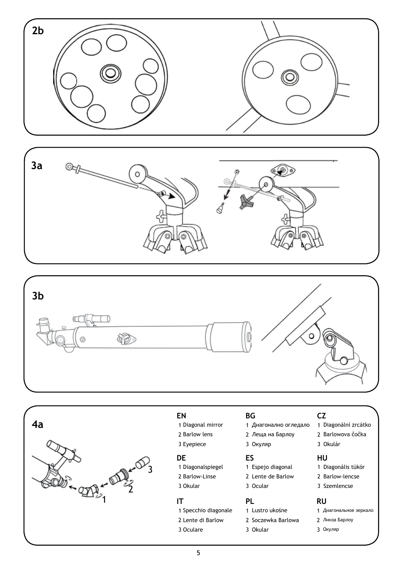







#### **EN**

- Diagonal mirror
- 2 Barlow lens 3 Eyepiece

- 1 Diagonalspiegel **DE**
- 2 Barlow-Linse
- 3 Okular

#### **IT**

- 1 Specchio diagonale
- 2 Lente di Barlow
- 3 Oculare

#### **BG**

- Диагонално огледало 1
- Леща на Барлоу 2
- Окуляр 3

#### **ES**

- Espejo diagonal 1
- 2 Lente de Barlow
- 3 Ocular

#### **PL**

- Lustro ukośne 1
- 2 Soczewka Barlowa
- Okular 3

#### **CZ**

- Diagonální zrcátko 1
- 2. Barlowova čočka
- Okulár 3

#### **HU**

- 1 Diagonális tükör
- 2 Barlow-lencse
- 3 Szemlencse

#### **RU**

- Диагональное зеркало 1
- Линза Барлоу 2 Окуляр 3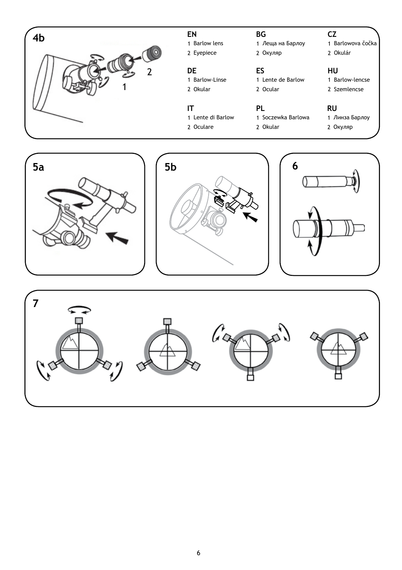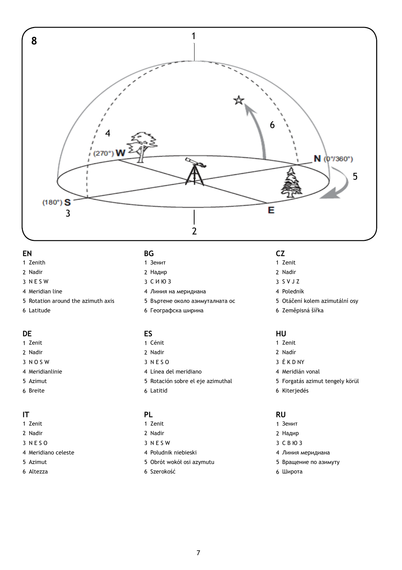

#### **EN**

- 1 Zenith
- Nadir
- N E S W
- 4 Meridian line
- Rotation around the azimuth axis
- Latitude

#### **DE**

- 1 Zenit
- Nadir
- N O S W
- 4 Meridianlinie
- Azimut
- 6 Breite

#### **IT**

- 1 Zenit
- Nadir
- N E S O
- 4 Meridiano celeste
- Azimut
- Altezza

#### **BG**

- Зенит
- Надир
- С И Ю З
- Линия на меридиана
- Въртене около азимуталната ос
- 6 Географска ширина

#### **ES**

- Cénit
- 2 Nadir
- N E S O
- Línea del meridiano
- Rotación sobre el eje azimuthal
- Latitid

#### **PL**

- 1 Zenit
- Nadir
- 3 N E S W
- Południk niebieski
- Obrót wokół osi azymutu
- 6 Szerokość

#### **CZ**

- Zenit
- Nadir
- S V J Z
- Poledník
- Otáčení kolem azimutální osy
- 6 Zeměpisná šířka

#### **HU**

- Zenit
- Nadír
- 3 E K D NY
- 4 Meridián vonal
- Forgatás azimut tengely körül
- 6 Kiterjedés

#### **RU**

- Зенит Надир С В Ю З Линия меридиана
- Вращение по азимуту
- Широта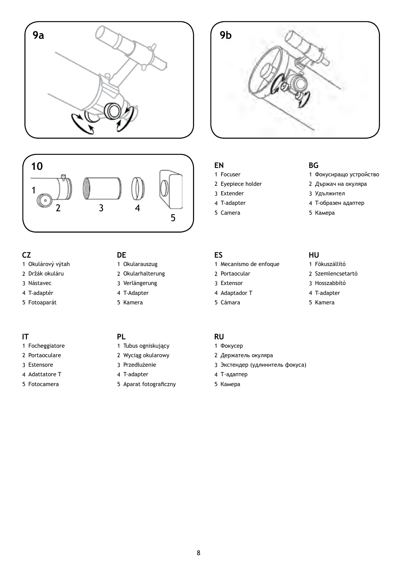



#### **CZ**

- Okulárový výtah
- Držák okuláru
- Nástavec
- T-adaptér
- 5 Fotoaparát

#### **IT**

- Focheggiatore
- 2 Portaoculare
- Estensore
- 4 Adattatore T
- Fotocamera

#### **DE**

- Okularauszug
- 2 Okularhalterung
- Verlängerung
- T-Adapter 5 Kamera

#### **PL**

- 1 Tubus ogniskujący
- Wyciąg okularowy
- Przedłużenie
- T-adapter
- 5 Aparat fotograficzny

#### **EN**

- Focuser
- Eyepiece holder
- Extender
- T-adapter
- Camera

#### **BG**

- 1 Фокусиращо устройство
- Държач на окуляра
- Удължител
- T-образен адаптер
- 5 Камера

- Mecanismo de enfoque
- Portaocular
- Extensor
- 4 Adaptador T
- Cámara

#### **ES HU**

- Fókuszállító
- 2 Szemlencsetartó
- Hosszabbító
- T-adapter
- 5 Kamera

#### **RU**

- 1 Фокусер
- Держатель окуляра
- Экстендер (удлинитель фокуса)
- Т-адаптер
- 5 Камера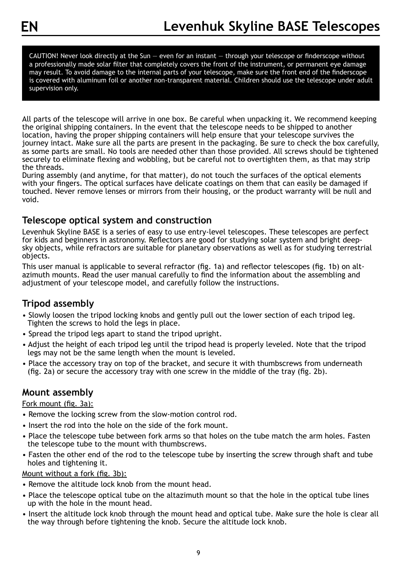CAUTION! Never look directly at the Sun — even for an instant — through your telescope or finderscope without a professionally made solar filter that completely covers the front of the instrument, or permanent eye damage may result. To avoid damage to the internal parts of your telescope, make sure the front end of the finderscope is covered with aluminum foil or another non-transparent material. Children should use the telescope under adult supervision only.

All parts of the telescope will arrive in one box. Be careful when unpacking it. We recommend keeping the original shipping containers. In the event that the telescope needs to be shipped to another location, having the proper shipping containers will help ensure that your telescope survives the journey intact. Make sure all the parts are present in the packaging. Be sure to check the box carefully, as some parts are small. No tools are needed other than those provided. All screws should be tightened securely to eliminate flexing and wobbling, but be careful not to overtighten them, as that may strip the threads.

During assembly (and anytime, for that matter), do not touch the surfaces of the optical elements with your fingers. The optical surfaces have delicate coatings on them that can easily be damaged if touched. Never remove lenses or mirrors from their housing, or the product warranty will be null and void.

#### **Telescope optical system and construction**

Levenhuk Skyline BASE is a series of easy to use entry-level telescopes. These telescopes are perfect for kids and beginners in astronomy. Reflectors are good for studying solar system and bright deepsky objects, while refractors are suitable for planetary observations as well as for studying terrestrial objects.

This user manual is applicable to several refractor (fig. 1a) and reflector telescopes (fig. 1b) on altazimuth mounts. Read the user manual carefully to find the information about the assembling and adjustment of your telescope model, and carefully follow the instructions.

#### **Tripod assembly**

- Slowly loosen the tripod locking knobs and gently pull out the lower section of each tripod leg. Tighten the screws to hold the legs in place.
- Spread the tripod legs apart to stand the tripod upright.
- Adjust the height of each tripod leg until the tripod head is properly leveled. Note that the tripod legs may not be the same length when the mount is leveled.
- Place the accessory tray on top of the bracket, and secure it with thumbscrews from underneath (fig. 2a) or secure the accessory tray with one screw in the middle of the tray (fig. 2b).

#### **Mount assembly**

#### Fork mount (fig. 3a):

- Remove the locking screw from the slow-motion control rod.
- Insert the rod into the hole on the side of the fork mount.
- Place the telescope tube between fork arms so that holes on the tube match the arm holes. Fasten the telescope tube to the mount with thumbscrews.
- Fasten the other end of the rod to the telescope tube by inserting the screw through shaft and tube holes and tightening it.

#### Mount without a fork (fig. 3b):

- Remove the altitude lock knob from the mount head.
- Place the telescope optical tube on the altazimuth mount so that the hole in the optical tube lines up with the hole in the mount head.
- Insert the altitude lock knob through the mount head and optical tube. Make sure the hole is clear all the way through before tightening the knob. Secure the altitude lock knob.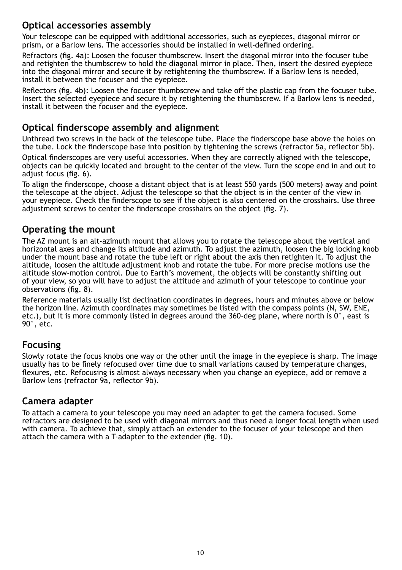#### **Optical accessories assembly**

Your telescope can be equipped with additional accessories, such as eyepieces, diagonal mirror or prism, or a Barlow lens. The accessories should be installed in well-defined ordering.

Refractors (fig. 4a): Loosen the focuser thumbscrew. Insert the diagonal mirror into the focuser tube and retighten the thumbscrew to hold the diagonal mirror in place. Then, insert the desired eyepiece into the diagonal mirror and secure it by retightening the thumbscrew. If a Barlow lens is needed, install it between the focuser and the eyepiece.

Reflectors (fig. 4b): Loosen the focuser thumbscrew and take off the plastic cap from the focuser tube. Insert the selected eyepiece and secure it by retightening the thumbscrew. If a Barlow lens is needed, install it between the focuser and the eyepiece.

#### **Optical finderscope assembly and alignment**

Unthread two screws in the back of the telescope tube. Place the finderscope base above the holes on the tube. Lock the finderscope base into position by tightening the screws (refractor 5a, reflector 5b).

Optical finderscopes are very useful accessories. When they are correctly aligned with the telescope, objects can be quickly located and brought to the center of the view. Turn the scope end in and out to adjust focus (fig. 6).

To align the finderscope, choose a distant object that is at least 550 yards (500 meters) away and point the telescope at the object. Adjust the telescope so that the object is in the center of the view in your eyepiece. Check the finderscope to see if the object is also centered on the crosshairs. Use three adjustment screws to center the finderscope crosshairs on the object (fig. 7).

#### **Operating the mount**

The AZ mount is an alt-azimuth mount that allows you to rotate the telescope about the vertical and horizontal axes and change its altitude and azimuth. To adjust the azimuth, loosen the big locking knob under the mount base and rotate the tube left or right about the axis then retighten it. To adjust the altitude, loosen the altitude adjustment knob and rotate the tube. For more precise motions use the altitude slow-motion control. Due to Earth's movement, the objects will be constantly shifting out of your view, so you will have to adjust the altitude and azimuth of your telescope to continue your observations (fig. 8).

Reference materials usually list declination coordinates in degrees, hours and minutes above or below the horizon line. Azimuth coordinates may sometimes be listed with the compass points (N, SW, ENE, etc.), but it is more commonly listed in degrees around the 360-deg plane, where north is 0°, east is 90°, etc.

#### **Focusing**

Slowly rotate the focus knobs one way or the other until the image in the eyepiece is sharp. The image usually has to be finely refocused over time due to small variations caused by temperature changes, flexures, etc. Refocusing is almost always necessary when you change an eyepiece, add or remove a Barlow lens (refractor 9a, reflector 9b).

#### **Camera adapter**

To attach a camera to your telescope you may need an adapter to get the camera focused. Some refractors are designed to be used with diagonal mirrors and thus need a longer focal length when used with camera. To achieve that, simply attach an extender to the focuser of your telescope and then attach the camera with a T-adapter to the extender (fig. 10).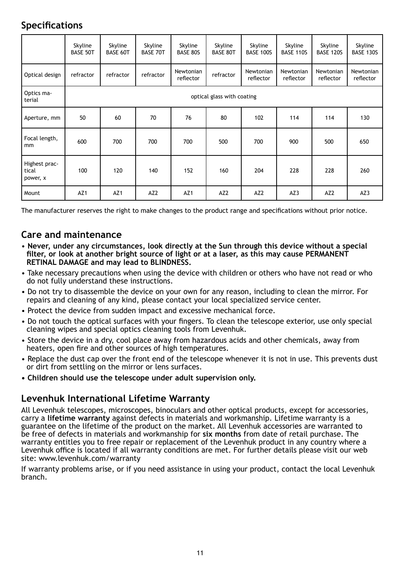#### **Specifications**

|                                    | Skyline<br><b>BASE 50T</b> | Skyline<br><b>BASE 60T</b> | Skyline<br><b>BASE 70T</b> | Skyline<br><b>BASE 80S</b> | Skyline<br><b>BASE 80T</b> | Skyline<br><b>BASE 100S</b> | Skyline<br><b>BASE 110S</b> | Skyline<br><b>BASE 120S</b> | Skyline<br><b>BASE 130S</b> |  |
|------------------------------------|----------------------------|----------------------------|----------------------------|----------------------------|----------------------------|-----------------------------|-----------------------------|-----------------------------|-----------------------------|--|
| Optical design                     | refractor                  | refractor                  | refractor                  | Newtonian<br>reflector     | refractor                  | Newtonian<br>reflector      | Newtonian<br>reflector      | Newtonian<br>reflector      | Newtonian<br>reflector      |  |
| Optics ma-<br>terial               |                            | optical glass with coating |                            |                            |                            |                             |                             |                             |                             |  |
| Aperture, mm                       | 50                         | 60                         | 70                         | 76                         | 80                         | 102                         | 114                         | 114                         | 130                         |  |
| Focal length,<br>mm                | 600                        | 700                        | 700                        | 700                        | 500                        | 700                         | 900                         | 500                         | 650                         |  |
| Highest prac-<br>tical<br>power, x | 100                        | 120                        | 140                        | 152                        | 160                        | 204                         | 228                         | 228                         | 260                         |  |
| Mount                              | AZ <sub>1</sub>            | AZ <sub>1</sub>            | AZ <sub>2</sub>            | AZ <sub>1</sub>            | AZ <sub>2</sub>            | AZ <sub>2</sub>             | AZ3                         | AZ <sub>2</sub>             | AZ3                         |  |

The manufacturer reserves the right to make changes to the product range and specifications without prior notice.

#### **Care and maintenance**

- • **Never, under any circumstances, look directly at the Sun through this device without a special filter, or look at another bright source of light or at a laser, as this may cause PERMANENT RETINAL DAMAGE and may lead to BLINDNESS.**
- Take necessary precautions when using the device with children or others who have not read or who do not fully understand these instructions.
- Do not try to disassemble the device on your own for any reason, including to clean the mirror. For repairs and cleaning of any kind, please contact your local specialized service center.
- Protect the device from sudden impact and excessive mechanical force.
- Do not touch the optical surfaces with your fingers. To clean the telescope exterior, use only special cleaning wipes and special optics cleaning tools from Levenhuk.
- Store the device in a dry, cool place away from hazardous acids and other chemicals, away from heaters, open fire and other sources of high temperatures.
- Replace the dust cap over the front end of the telescope whenever it is not in use. This prevents dust or dirt from settling on the mirror or lens surfaces.
- **Children should use the telescope under adult supervision only.**

#### **Levenhuk International Lifetime Warranty**

All Levenhuk telescopes, microscopes, binoculars and other optical products, except for accessories, carry a **lifetime warranty** against defects in materials and workmanship. Lifetime warranty is a guarantee on the lifetime of the product on the market. All Levenhuk accessories are warranted to be free of defects in materials and workmanship for **six months** from date of retail purchase. The warranty entitles you to free repair or replacement of the Levenhuk product in any country where a Levenhuk office is located if all warranty conditions are met. For further details please visit our web site: www.levenhuk.com/warranty

If warranty problems arise, or if you need assistance in using your product, contact the local Levenhuk branch.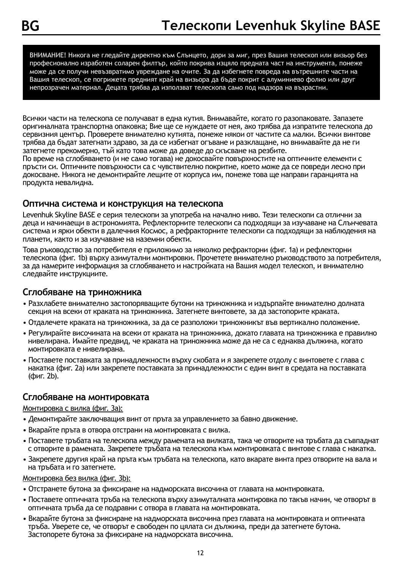ВНИМАНИЕ! Никога не гледайте директно към Слънцето, дори за миг, през Вашия телескоп или визьор без професионално изработен соларен филтър, който покрива изцяло предната част на инструмента, понеже може да се получи невъзвратимо увреждане на очите. За да избегнете повреда на вътрешните части на Вашия телескоп, се погрижете предният край на визьора да бъде покрит с алуминиево фолио или друг непрозрачен материал. Децата трябва да използват телескопа само под надзора на възрастни.

Всички части на телескопа се получават в една кутия. Внимавайте, когато го разопаковате. Запазете оригиналната транспортна опаковка; Вие ще се нуждаете от нея, ако трябва да изпратите телескопа до сервизния център. Проверете внимателно кутията, понеже някои от частите са малки. Всички винтове трябва да бъдат затегнати здраво, за да се избегнат огъване и разклащане, но внимавайте да не ги затегнете прекомерно, тъй като това може да доведе до скъсване на резбите.

По време на сглобяването (и не само тогава) не докосвайте повърхностите на оптичните елементи с пръсти си. Оптичните повърхности са с чувствително покритие, което може да се повреди лесно при докосване. Никога не демонтирайте лещите от корпуса им, понеже това ще направи гаранцията на продукта невалидна.

#### **Оптична система и конструкция на телескопа**

Levenhuk Skyline BASE е серия телескопи за употреба на начално ниво. Тези телескопи са отлични за деца и начинаещи в астрономията. Рефлекторните телескопи са подходящи за изучаване на Слънчевата система и ярки обекти в далечния Космос, а рефракторните телескопи са подходящи за наблюдения на планети, както и за изучаване на наземни обекти.

Това ръководство за потребителя е приложимо за няколко рефракторни (фиг. 1a) и рефлекторни телескопа (фиг. 1b) върху азимутални монтировки. Прочетете внимателно ръководството за потребителя, за да намерите информация за сглобяването и настройката на Вашия модел телескоп, и внимателно следвайте инструкциите.

#### **Сглобяване на триножника**

- Разхлабете внимателно застопоряващите бутони на триножника и издърпайте внимателно долната секция на всеки от краката на триножника. Затегнете винтовете, за да застопорите краката.
- Отдалечете краката на триножника, за да се разположи триножникът във вертикално положение.
- Регулирайте височината на всеки от краката на триножника, докато главата на триножника е правилно нивелирана. Имайте предвид, че краката на триножника може да не са с еднаква дължина, когато монтировката е нивелирана.
- Поставете поставката за принадлежности върху скобата и я закрепете отдолу с винтовете с глава с накатка (фиг. 2a) или закрепете поставката за принадлежности с един винт в средата на поставката (фиг. 2b).

#### **Сглобяване на монтировката**

#### Монтировка с вилка (фиг. 3a):

- Демонтирайте заключващия винт от пръта за управлението за бавно движение.
- Вкарайте пръта в отвора отстрани на монтировката с вилка.
- Поставете тръбата на телескопа между рамената на вилката, така че отворите на тръбата да съвпаднат с отворите в рамената. Закрепете тръбата на телескопа към монтировката с винтове с глава с накатка.
- Закрепете другия край на пръта към тръбата на телескопа, като вкарате винта през отворите на вала и на тръбата и го затегнете.

#### Монтировка без вилка (фиг. 3b):

- Отстранете бутона за фиксиране на надморската височина от главата на монтировката.
- Поставете оптичната тръба на телескопа върху азимуталната монтировка по такъв начин, че отворът в оптичната тръба да се подравни с отвора в главата на монтировката.
- Вкарайте бутона за фиксиране на надморската височина през главата на монтировката и оптичната тръба. Уверете се, че отворът е свободен по цялата си дължина, преди да затегнете бутона. Застопорете бутона за фиксиране на надморската височина.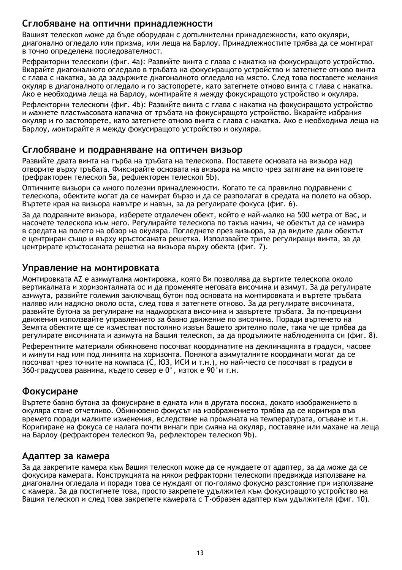#### **Сглобяване на оптични принадлежности**

Вашият телескоп може да бъде оборудван с допълнителни принадлежности, като окуляри, диагонално огледало или призма, или леща на Барлоу. Принадлежностите трябва да се монтират в точно определена последователност.

Рефракторни телескопи (фиг. 4a): Развийте винта с глава с накатка на фокусиращото устройство. Вкарайте диагоналното огледало в тръбата на фокусиращото устройство и затегнете отново винта с глава с накатка, за да задържите диагоналното огледало на място. След това поставете желания окуляр в диагоналното огледало и го застопорете, като затегнете отново винта с глава с накатка. Ако е необходима леща на Барлоу, монтирайте я между фокусиращото устройство и окуляра.

Рефлекторни телескопи (фиг. 4b): Развийте винта с глава с накатка на фокусиращото устройство и махнете пластмасовата капачка от тръбата на фокусиращото устройство. Вкарайте избрания окуляр и го застопорете, като затегнете отново винта с глава с накатка. Ако е необходима леща на Барлоу, монтирайте я между фокусиращото устройство и окуляра.

#### **Сглобяване и подравняване на оптичен визьор**

Развийте двата винта на гърба на тръбата на телескопа. Поставете основата на визьора над отворите върху тръбата. Фиксирайте основата на визьора на място чрез затягане на винтовете (рефракторен телескоп 5a, рефлекторен телескоп 5b).

Оптичните визьори са много полезни принадлежности. Когато те са правилно подравнени с телескопа, обектите могат да се намират бързо и да се разполагат в средата на полето на обзор. Въртете края на визьора навътре и навън, за да регулирате фокуса (фиг. 6).

За да подравните визьора, изберете отдалечен обект, който е най-малко на 500 метра от Вас, и насочете телескопа към него. Регулирайте телескопа по такъв начин, че обектът да се намира в средата на полето на обзор на окуляра. Погледнете през визьора, за да видите дали обектът е центриран също и върху кръстосаната решетка. Използвайте трите регулиращи винта, за да центрирате кръстосаната решетка на визьора върху обекта (фиг. 7).

#### **Управление на монтировката**

Монтировката AZ е азимутална монтировка, която Ви позволява да въртите телескопа около вертикалната и хоризонталната ос и да променяте неговата височина и азимут. За да регулирате азимута, развийте големия заключващ бутон под основата на монтировката и въртете тръбата наляво или надясно около оста, след това я затегнете отново. За да регулирате височината, развийте бутона за регулиране на надморската височина и завъртете тръбата. За по-прецизни движения използвайте управлението за бавно движение по височина. Поради въртенето на Земята обектите ще се изместват постоянно извън Вашето зрително поле, така че ще трябва да регулирате височината и азимута на Вашия телескоп, за да продължите наблюденията си (фиг. 8).

Референтните материали обикновено посочват координатите на деклинацията в градуси, часове и минути над или под линията на хоризонта. Понякога азимуталните координати могат да се посочват чрез точките на компаса (С, ЮЗ, ИСИ и т.н.), но най-често се посочват в градуси в 360-градусова равнина, където север е 0°, изток е 90°и т.н.

#### **Фокусиране**

Въртете бавно бутона за фокусиране в едната или в другата посока, докато изображението в окуляра стане отчетливо. Обикновено фокусът на изображението трябва да се коригира във времето поради малките изменения, вследствие на промяната на температурата, огъване и т.н. Коригиране на фокуса се налага почти винаги при смяна на окуляр, поставяне или махане на леща на Барлоу (рефракторен телескоп 9a, рефлекторен телескоп 9b).

#### **Адаптер за камера**

За да закрепите камера към Вашия телескоп може да се нуждаете от адаптер, за да може да се фокусира камерата. Конструкцията на някои рефракторни телескопи предвижда използване на диагонални огледала и поради това се нуждаят от по-голямо фокусно разстояние при използване с камера. За да постигнете това, просто закрепете удължител към фокусиращото устройство на Вашия телескоп и след това закрепете камерата с Т-образен адаптер към удължителя (фиг. 10).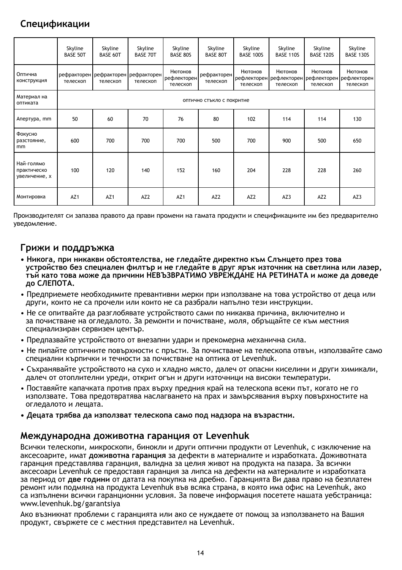## **Спецификации**

|                                            | Skyline<br><b>BASE 50T</b> | Skyline<br>BASE 60T                             | Skyline<br><b>BASE 70T</b> | Skyline<br><b>BASE 80S</b>         | Skyline<br><b>BASE 80T</b> | Skyline<br><b>BASE 100S</b> | Skyline<br><b>BASE 110S</b> | Skyline<br><b>BASE 120S</b> | Skyline<br><b>BASE 130S</b>                                            |  |
|--------------------------------------------|----------------------------|-------------------------------------------------|----------------------------|------------------------------------|----------------------------|-----------------------------|-----------------------------|-----------------------------|------------------------------------------------------------------------|--|
| Оптична<br>конструкция                     | телескоп                   | рефракторен рефракторен рефракторен<br>телескоп | телескоп                   | Нютонов<br>рефлекторен<br>телескоп | рефракторен<br>телескоп    | Нютонов<br>телескоп         | Нютонов<br>телескоп         | Нютонов<br>телескоп         | Нютонов<br>рефлекторен рефлекторен рефлекторен рефлекторен<br>телескоп |  |
| Материал на<br>оптиката                    |                            | оптично стъкло с покритие                       |                            |                                    |                            |                             |                             |                             |                                                                        |  |
| Апертура, тт                               | 50                         | 60                                              | 70                         | 76                                 | 80                         | 102                         | 114                         | 114                         | 130                                                                    |  |
| Фокусно<br>разстояние,<br>mm               | 600                        | 700                                             | 700                        | 700                                | 500                        | 700                         | 900                         | 500                         | 650                                                                    |  |
| Най-голямо<br>практическо<br>увеличение, х | 100                        | 120                                             | 140                        | 152                                | 160                        | 204                         | 228                         | 228                         | 260                                                                    |  |
| Монтировка                                 | AZ <sub>1</sub>            | AZ <sub>1</sub>                                 | AZ <sub>2</sub>            | AZ <sub>1</sub>                    | AZ <sub>2</sub>            | AZ <sub>2</sub>             | AZ3                         | AZ <sub>2</sub>             | AZ3                                                                    |  |

Производителят си запазва правото да прави промени на гамата продукти и спецификациите им без предварително уведомление.

#### **Грижи и поддръжка**

- **Никога, при никакви обстоятелства, не гледайте директно към Слънцето през това устройство без специален филтър и не гледайте в друг ярък източник на светлина или лазер, тъй като това може да причини НЕВЪЗВРАТИМО УВРЕЖДАНЕ НА РЕТИНАТА и може да доведе до СЛЕПОТА.**
- Предприемете необходимите превантивни мерки при използване на това устройство от деца или други, които не са прочели или които не са разбрали напълно тези инструкции.
- Не се опитвайте да разглобявате устройството сами по никаква причина, включително и за почистване на огледалото. За ремонти и почистване, моля, обръщайте се към местния специализиран сервизен център.
- Предпазвайте устройството от внезапни удари и прекомерна механична сила.
- Не пипайте оптичните повърхности с пръсти. За почистване на телескопа отвън, използвайте само специални кърпички и течности за почистване на оптика от Levenhuk.
- Съхранявайте устройството на сухо и хладно място, далеч от опасни киселини и други химикали, далеч от отоплителни уреди, открит огън и други източници на високи температури.
- Поставяйте капачката против прах върху предния край на телескопа всеки път, когато не го използвате. Това предотвратява наслагването на прах и замърсявания върху повърхностите на огледалото и лещата.
- **Децата трябва да използват телескопа само под надзора на възрастни.**

#### **Международна доживотна гаранция от Levenhuk**

Всички телескопи, микроскопи, бинокли и други оптични продукти от Levenhuk, с изключение на аксесоарите, имат **доживотна гаранция** за дефекти в материалите и изработката. Доживотната гаранция представлява гаранция, валидна за целия живот на продукта на пазара. За всички аксесоари Levenhuk се предоставя гаранция за липса на дефекти на материалите и изработката за период от **две години** от датата на покупка на дребно. Гаранцията Ви дава право на безплатен ремонт или подмяна на продукта Levenhuk във всяка страна, в която има офис на Levenhuk, ако са изпълнени всички гаранционни условия. За повече информация посетете нашата уебстраница: www.levenhuk.bg/garantsiya

Ако възникнат проблеми с гаранцията или ако се нуждаете от помощ за използването на Вашия продукт, свържете се с местния представител на Levenhuk.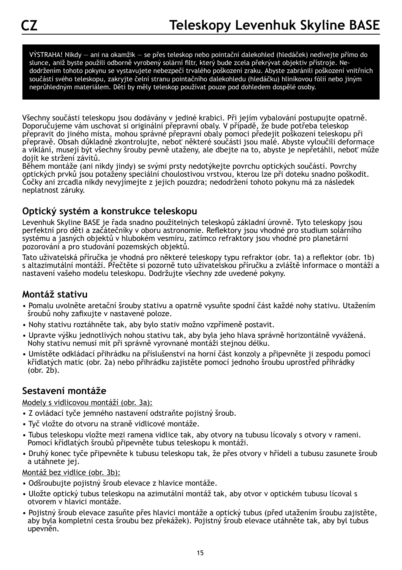VÝSTRAHA! Nikdy — ani na okamžik — se přes teleskop nebo pointační dalekohled (hledáček) nedívejte přímo do slunce, aniž byste použili odborně vyrobený solární filtr, který bude zcela překrývat objektiv přístroje. Nedodržením tohoto pokynu se vystavujete nebezpečí trvalého poškození zraku. Abyste zabránili poškození vnitřních součástí svého teleskopu, zakryjte čelní stranu pointačního dalekohledu (hledáčku) hliníkovou fólií nebo jiným neprůhledným materiálem. Děti by měly teleskop používat pouze pod dohledem dospělé osoby.

Všechny součásti teleskopu jsou dodávány v jediné krabici. Při jejím vybalování postupujte opatrně. Doporučujeme vám uschovat si originální přepravní obaly. V případě, že bude potřeba teleskop přepravit do jiného místa, mohou správné přepravní obaly pomoci předejít poškození teleskopu při přepravě. Obsah důkladně zkontrolujte, neboť některé součásti jsou malé. Abyste vyloučili deformace a viklání, musejí být všechny šrouby pevně utaženy, ale dbejte na to, abyste je nepřetáhli, neboť může dojít ke stržení závitů.

Během montáže (ani nikdy jindy) se svými prsty nedotýkejte povrchu optických součástí. Povrchy optických prvků jsou potaženy speciální choulostivou vrstvou, kterou lze při doteku snadno poškodit. Čočky ani zrcadla nikdy nevyjímejte z jejich pouzdra; nedodržení tohoto pokynu má za následek neplatnost záruky.

#### **Optický systém a konstrukce teleskopu**

Levenhuk Skyline BASE je řada snadno použitelných teleskopů základní úrovně. Tyto teleskopy jsou perfektní pro děti a začátečníky v oboru astronomie. Reflektory jsou vhodné pro studium solárního systému a jasných objektů v hlubokém vesmíru, zatímco refraktory jsou vhodné pro planetární pozorování a pro studování pozemských objektů.

Tato uživatelská příručka je vhodná pro některé teleskopy typu refraktor (obr. 1a) a reflektor (obr. 1b) s altazimutální montáží. Přečtěte si pozorně tuto uživatelskou příručku a zvláště informace o montáži a nastavení vašeho modelu teleskopu. Dodržujte všechny zde uvedené pokyny.

#### **Montáž stativu**

- Pomalu uvolněte aretační šrouby stativu a opatrně vysuňte spodní část každé nohy stativu. Utažením šroubů nohy zafixujte v nastavené poloze.
- Nohy stativu roztáhněte tak, aby bylo stativ možno vzpřímeně postavit.
- Upravte výšku jednotlivých nohou stativu tak, aby byla jeho hlava správně horizontálně vyvážená. Nohy stativu nemusí mít při správně vyrovnané montáži stejnou délku.
- Umístěte odkládací přihrádku na příslušenství na horní část konzoly a připevněte ji zespodu pomocí křídlatých matic (obr. 2a) nebo přihrádku zajistěte pomocí jednoho šroubu uprostřed přihrádky  $($ obr.  $2b$ ).

#### **Sestavení montáže**

#### Modely s vidlicovou montáží (obr. 3a):

- Z ovládací tyče jemného nastavení odstraňte pojistný šroub.
- Tyč vložte do otvoru na straně vidlicové montáže.
- Tubus teleskopu vložte mezi ramena vidlice tak, aby otvory na tubusu lícovaly s otvory v rameni. Pomocí křídlatých šroubů připevněte tubus teleskopu k montáži.
- Druhý konec tyče připevněte k tubusu teleskopu tak, že přes otvory v hřídeli a tubusu zasunete šroub a utáhnete jej.

Montáž bez vidlice (obr. 3b):

- Odšroubujte pojistný šroub elevace z hlavice montáže.
- Uložte optický tubus teleskopu na azimutální montáž tak, aby otvor v optickém tubusu lícoval s otvorem v hlavici montáže.
- Pojistný šroub elevace zasuňte přes hlavici montáže a optický tubus (před utažením šroubu zajistěte, aby byla kompletní cesta šroubu bez překážek). Pojistný šroub elevace utáhněte tak, aby byl tubus upevněn.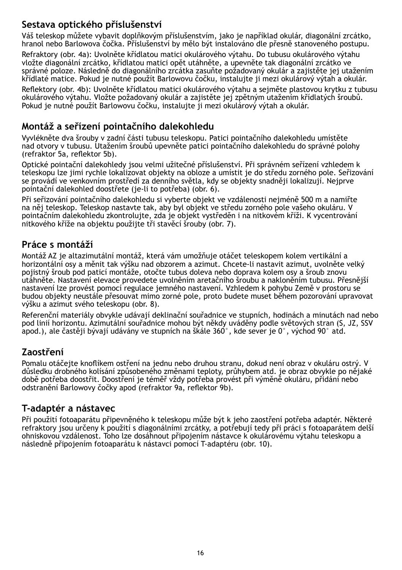#### **Sestava optického příslušenství**

Váš teleskop můžete vybavit doplňkovým příslušenstvím, jako je například okulár, diagonální zrcátko, hranol nebo Barlowova čočka. Příslušenství by mělo být instalováno dle přesně stanoveného postupu.

Refraktory (obr. 4a): Uvolněte křídlatou matici okulárového výtahu. Do tubusu okulárového výtahu vložte diagonální zrcátko, křídlatou matici opět utáhněte, a upevněte tak diagonální zrcátko ve správné poloze. Následně do diagonálního zrcátka zasuňte požadovaný okulár a zajistěte jej utažením křídlaté matice. Pokud je nutné použít Barlowovu čočku, instalujte ji mezi okulárový výtah a okulár.

Reflektory (obr. 4b): Uvolněte křídlatou matici okulárového výtahu a sejměte plastovou krytku z tubusu okulárového výtahu. Vložte požadovaný okulár a zajistěte jej zpětným utažením křídlatých šroubů. Pokud je nutné použít Barlowovu čočku, instalujte ji mezi okulárový výtah a okulár.

#### **Montáž a seřízení pointačního dalekohledu**

Vyvlékněte dva šrouby v zadní části tubusu teleskopu. Patici pointačního dalekohledu umístěte nad otvory v tubusu. Utažením šroubů upevněte patici pointačního dalekohledu do správné polohy (refraktor 5a, reflektor 5b).

Optické pointační dalekohledy jsou velmi užitečné příslušenství. Při správném seřízení vzhledem k teleskopu lze jimi rychle lokalizovat objekty na obloze a umístit je do středu zorného pole. Seřizování se provádí ve venkovním prostředí za denního světla, kdy se objekty snadněji lokalizují. Nejprve pointační dalekohled doostřete (je-li to potřeba) (obr. 6).

Při seřizování pointačního dalekohledu si vyberte objekt ve vzdálenosti nejméně 500 m a namiřte na něj teleskop. Teleskop nastavte tak, aby byl objekt ve středu zorného pole vašeho okuláru. V pointačním dalekohledu zkontrolujte, zda je objekt vystředěn i na nitkovém kříži. K vycentrování nitkového kříže na objektu použijte tři stavěcí šrouby (obr. 7).

#### **Práce s montáží**

Montáž AZ je altazimutální montáž, která vám umožňuje otáčet teleskopem kolem vertikální a horizontální osy a měnit tak výšku nad obzorem a azimut. Chcete-li nastavit azimut, uvolněte velký pojistný šroub pod paticí montáže, otočte tubus doleva nebo doprava kolem osy a šroub znovu utáhněte. Nastavení elevace provedete uvolněním aretačního šroubu a nakloněním tubusu. Přesnější nastavení lze provést pomocí regulace jemného nastavení. Vzhledem k pohybu Země v prostoru se budou objekty neustále přesouvat mimo zorné pole, proto budete muset během pozorování upravovat výšku a azimut svého teleskopu (obr. 8).

Referenční materiály obvykle udávají deklinační souřadnice ve stupních, hodinách a minutách nad nebo pod linií horizontu. Azimutální souřadnice mohou být někdy uváděny podle světových stran (S, JZ, SSV apod.), ale častěji bývají udávány ve stupních na škále 360°, kde sever je 0°, východ 90° atd.

#### **Zaostření**

Pomalu otáčejte knoflíkem ostření na jednu nebo druhou stranu, dokud není obraz v okuláru ostrý. V důsledku drobného kolísání způsobeného změnami teploty, průhybem atd. je obraz obvykle po nějaké době potřeba doostřit. Doostření je téměř vždy potřeba provést při výměně okuláru, přidání nebo odstranění Barlowovy čočky apod (refraktor 9a, reflektor 9b).

#### **T-adaptér a nástavec**

Při použití fotoaparátu připevněného k teleskopu může být k jeho zaostření potřeba adaptér. Některé refraktory jsou určeny k použití s diagonálními zrcátky, a potřebují tedy při práci s fotoaparátem delší ohniskovou vzdálenost. Toho lze dosáhnout připojením nástavce k okulárovému výtahu teleskopu a následně připojením fotoaparátu k nástavci pomocí T-adaptéru (obr. 10).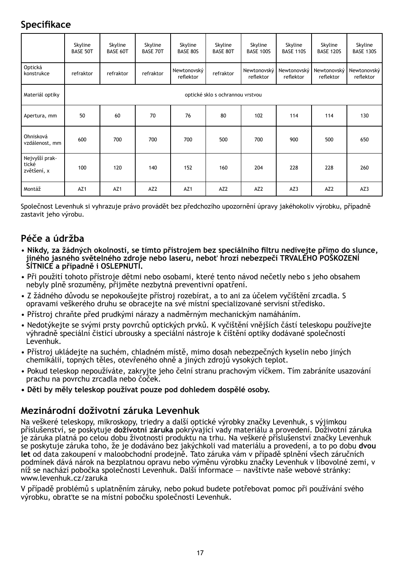#### **Specifikace**

|                                        | Skyline<br><b>BASE 50T</b> | Skyline<br>BASE 60T              | Skyline<br><b>BASE 70T</b> | Skyline<br><b>BASE 80S</b> | Skyline<br>BASE 80T | Skyline<br><b>BASE 100S</b> | Skyline<br><b>BASE 110S</b> | Skyline<br><b>BASE 120S</b> | Skyline<br><b>BASE 130S</b> |  |
|----------------------------------------|----------------------------|----------------------------------|----------------------------|----------------------------|---------------------|-----------------------------|-----------------------------|-----------------------------|-----------------------------|--|
| Optická<br>konstrukce                  | refraktor                  | refraktor                        | refraktor                  | Newtonovský<br>reflektor   | refraktor           | Newtonovský<br>reflektor    | Newtonovský<br>reflektor    | Newtonovský<br>reflektor    | Newtonovský<br>reflektor    |  |
| Materiál optiky                        |                            | optické sklo s ochrannou vrstvou |                            |                            |                     |                             |                             |                             |                             |  |
| Apertura, mm                           | 50                         | 60                               | 70                         | 76                         | 80                  | 102                         | 114                         | 114                         | 130                         |  |
| Ohnisková<br>vzdálenost, mm            | 600                        | 700                              | 700                        | 700                        | 500                 | 700                         | 900                         | 500                         | 650                         |  |
| Nejvyšší prak-<br>tické<br>zvětšení, x | 100                        | 120                              | 140                        | 152                        | 160                 | 204                         | 228                         | 228                         | 260                         |  |
| Montáž                                 | AZ1                        | AZ <sub>1</sub>                  | AZ <sub>2</sub>            | AZ1                        | AZ <sub>2</sub>     | AZ <sub>2</sub>             | AZ3                         | AZ <sub>2</sub>             | AZ3                         |  |

Společnost Levenhuk si vyhrazuje právo provádět bez předchozího upozornění úpravy jakéhokoliv výrobku, případně zastavit jeho výrobu.

#### **Péče a údržba**

- • **Nikdy, za žádných okolností, se tímto přístrojem bez speciálního filtru nedívejte přímo do slunce, jiného jasného světelného zdroje nebo laseru, neboť hrozí nebezpečí TRVALÉHO POŠKOZENÍ SÍTNICE a případně i OSLEPNUTÍ.**
- Při použití tohoto přístroje dětmi nebo osobami, které tento návod nečetly nebo s jeho obsahem nebyly plně srozuměny, přijměte nezbytná preventivní opatření.
- Z žádného důvodu se nepokoušejte přístroj rozebírat, a to ani za účelem vyčištění zrcadla. S opravami veškerého druhu se obracejte na své místní specializované servisní středisko.
- Přístroj chraňte před prudkými nárazy a nadměrným mechanickým namáháním.
- Nedotýkejte se svými prsty povrchů optických prvků. K vyčištění vnějších částí teleskopu používejte výhradně speciální čisticí ubrousky a speciální nástroje k čištění optiky dodávané společností Levenhuk.
- Přístroj ukládejte na suchém, chladném místě, mimo dosah nebezpečných kyselin nebo jiných chemikálií, topných těles, otevřeného ohně a jiných zdrojů vysokých teplot.
- Pokud teleskop nepoužíváte, zakryjte jeho čelní stranu prachovým víčkem. Tím zabráníte usazování prachu na povrchu zrcadla nebo čoček.
- **Děti by měly teleskop používat pouze pod dohledem dospělé osoby.**

#### **Mezinárodní doživotní záruka Levenhuk**

Na veškeré teleskopy, mikroskopy, triedry a další optické výrobky značky Levenhuk, s výjimkou příslušenství, se poskytuje **doživotní záruka** pokrývající vady materiálu a provedení. Doživotní záruka je záruka platná po celou dobu životnosti produktu na trhu. Na veškeré příslušenství značky Levenhuk se poskytuje záruka toho, že je dodáváno bez jakýchkoli vad materiálu a provedení, a to po dobu **dvou let** od data zakoupení v maloobchodní prodejně. Tato záruka vám v případě splnění všech záručních podmínek dává nárok na bezplatnou opravu nebo výměnu výrobku značky Levenhuk v libovolné zemi, v níž se nachází pobočka společnosti Levenhuk. Další informace — navštivte naše webové stránky: www.levenhuk.cz/zaruka

V případě problémů s uplatněním záruky, nebo pokud budete potřebovat pomoc při používání svého výrobku, obraťte se na místní pobočku společnosti Levenhuk.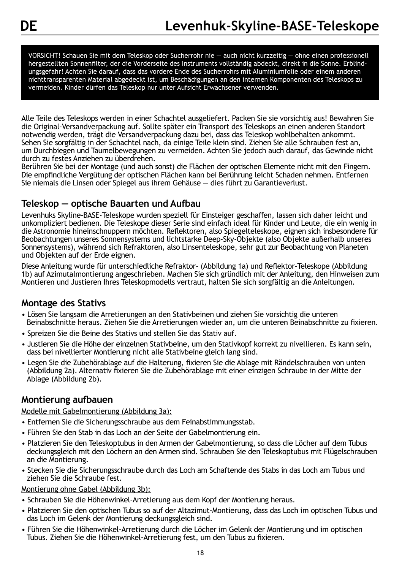VORSICHT! Schauen Sie mit dem Teleskop oder Sucherrohr nie — auch nicht kurzzeitig — ohne einen professionell hergestellten Sonnenfilter, der die Vorderseite des Instruments vollständig abdeckt, direkt in die Sonne. Erblindungsgefahr! Achten Sie darauf, dass das vordere Ende des Sucherrohrs mit Aluminiumfolie oder einem anderen nichttransparenten Material abgedeckt ist, um Beschädigungen an den internen Komponenten des Teleskops zu vermeiden. Kinder dürfen das Teleskop nur unter Aufsicht Erwachsener verwenden.

Alle Teile des Teleskops werden in einer Schachtel ausgeliefert. Packen Sie sie vorsichtig aus! Bewahren Sie die Original-Versandverpackung auf. Sollte später ein Transport des Teleskops an einen anderen Standort notwendig werden, trägt die Versandverpackung dazu bei, dass das Teleskop wohlbehalten ankommt. Sehen Sie sorgfältig in der Schachtel nach, da einige Teile klein sind. Ziehen Sie alle Schrauben fest an, um Durchbiegen und Taumelbewegungen zu vermeiden. Achten Sie jedoch auch darauf, das Gewinde nicht durch zu festes Anziehen zu überdrehen.

Berühren Sie bei der Montage (und auch sonst) die Flächen der optischen Elemente nicht mit den Fingern. Die empfindliche Vergütung der optischen Flächen kann bei Berührung leicht Schaden nehmen. Entfernen Sie niemals die Linsen oder Spiegel aus ihrem Gehäuse — dies führt zu Garantieverlust.

#### **Teleskop — optische Bauarten und Aufbau**

Levenhuks Skyline-BASE-Teleskope wurden speziell für Einsteiger geschaffen, lassen sich daher leicht und unkompliziert bedienen. Die Teleskope dieser Serie sind einfach ideal für Kinder und Leute, die ein wenig in die Astronomie hineinschnuppern möchten. Reflektoren, also Spiegelteleskope, eignen sich insbesondere für Beobachtungen unseres Sonnensystems und lichtstarke Deep-Sky-Objekte (also Objekte außerhalb unseres Sonnensystems), während sich Refraktoren, also Linsenteleskope, sehr gut zur Beobachtung von Planeten und Objekten auf der Erde eignen.

Diese Anleitung wurde für unterschiedliche Refraktor- (Abbildung 1a) und Reflektor-Teleskope (Abbildung 1b) auf Azimutalmontierung angeschrieben. Machen Sie sich gründlich mit der Anleitung, den Hinweisen zum Montieren und Justieren Ihres Teleskopmodells vertraut, halten Sie sich sorgfältig an die Anleitungen.

#### **Montage des Stativs**

- Lösen Sie langsam die Arretierungen an den Stativbeinen und ziehen Sie vorsichtig die unteren Beinabschnitte heraus. Ziehen Sie die Arretierungen wieder an, um die unteren Beinabschnitte zu fixieren.
- Spreizen Sie die Beine des Stativs und stellen Sie das Stativ auf.
- Justieren Sie die Höhe der einzelnen Stativbeine, um den Stativkopf korrekt zu nivellieren. Es kann sein, dass bei nivellierter Montierung nicht alle Stativbeine gleich lang sind.
- Legen Sie die Zubehörablage auf die Halterung, fixieren Sie die Ablage mit Rändelschrauben von unten (Abbildung 2a). Alternativ fixieren Sie die Zubehörablage mit einer einzigen Schraube in der Mitte der Ablage (Abbildung 2b).

#### **Montierung aufbauen**

#### Modelle mit Gabelmontierung (Abbildung 3a):

- Entfernen Sie die Sicherungsschraube aus dem Feinabstimmungsstab.
- Führen Sie den Stab in das Loch an der Seite der Gabelmontierung ein.
- Platzieren Sie den Teleskoptubus in den Armen der Gabelmontierung, so dass die Löcher auf dem Tubus deckungsgleich mit den Löchern an den Armen sind. Schrauben Sie den Teleskoptubus mit Flügelschrauben an die Montierung.
- Stecken Sie die Sicherungsschraube durch das Loch am Schaftende des Stabs in das Loch am Tubus und ziehen Sie die Schraube fest.

#### Montierung ohne Gabel (Abbildung 3b):

- Schrauben Sie die Höhenwinkel-Arretierung aus dem Kopf der Montierung heraus.
- Platzieren Sie den optischen Tubus so auf der Altazimut-Montierung, dass das Loch im optischen Tubus und das Loch im Gelenk der Montierung deckungsgleich sind.
- Führen Sie die Höhenwinkel-Arretierung durch die Löcher im Gelenk der Montierung und im optischen Tubus. Ziehen Sie die Höhenwinkel-Arretierung fest, um den Tubus zu fixieren.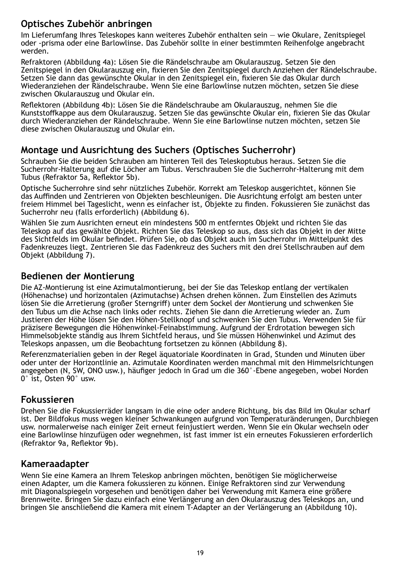#### **Optisches Zubehör anbringen**

Im Lieferumfang Ihres Teleskopes kann weiteres Zubehör enthalten sein — wie Okulare, Zenitspiegel oder -prisma oder eine Barlowlinse. Das Zubehör sollte in einer bestimmten Reihenfolge angebracht werden.

Refraktoren (Abbildung 4a): Lösen Sie die Rändelschraube am Okularauszug. Setzen Sie den Zenitspiegel in den Okularauszug ein, fixieren Sie den Zenitspiegel durch Anziehen der Rändelschraube. Setzen Sie dann das gewünschte Okular in den Zenitspiegel ein, fixieren Sie das Okular durch Wiederanziehen der Rändelschraube. Wenn Sie eine Barlowlinse nutzen möchten, setzen Sie diese zwischen Okularauszug und Okular ein.

Reflektoren (Abbildung 4b): Lösen Sie die Rändelschraube am Okularauszug, nehmen Sie die Kunststoffkappe aus dem Okularauszug. Setzen Sie das gewünschte Okular ein, fixieren Sie das Okular durch Wiederanziehen der Rändelschraube. Wenn Sie eine Barlowlinse nutzen möchten, setzen Sie diese zwischen Okularauszug und Okular ein.

#### **Montage und Ausrichtung des Suchers (Optisches Sucherrohr)**

Schrauben Sie die beiden Schrauben am hinteren Teil des Teleskoptubus heraus. Setzen Sie die Sucherrohr-Halterung auf die Löcher am Tubus. Verschrauben Sie die Sucherrohr-Halterung mit dem Tubus (Refraktor 5a, Reflektor 5b).

Optische Sucherrohre sind sehr nützliches Zubehör. Korrekt am Teleskop ausgerichtet, können Sie das Auffinden und Zentrieren von Objekten beschleunigen. Die Ausrichtung erfolgt am besten unter freiem Himmel bei Tageslicht, wenn es einfacher ist, Objekte zu finden. Fokussieren Sie zunächst das Sucherrohr neu (falls erforderlich) (Abbildung 6).

Wählen Sie zum Ausrichten erneut ein mindestens 500 m entferntes Objekt und richten Sie das Teleskop auf das gewählte Objekt. Richten Sie das Teleskop so aus, dass sich das Objekt in der Mitte des Sichtfelds im Okular befindet. Prüfen Sie, ob das Objekt auch im Sucherrohr im Mittelpunkt des Fadenkreuzes liegt. Zentrieren Sie das Fadenkreuz des Suchers mit den drei Stellschrauben auf dem Objekt (Abbildung 7).

#### **Bedienen der Montierung**

Die AZ-Montierung ist eine Azimutalmontierung, bei der Sie das Teleskop entlang der vertikalen (Höhenachse) und horizontalen (Azimutachse) Achsen drehen können. Zum Einstellen des Azimuts lösen Sie die Arretierung (großer Sterngriff) unter dem Sockel der Montierung und schwenken Sie den Tubus um die Achse nach links oder rechts. Ziehen Sie dann die Arretierung wieder an. Zum Justieren der Höhe lösen Sie den Höhen-Stellknopf und schwenken Sie den Tubus. Verwenden Sie für präzisere Bewegungen die Höhenwinkel-Feinabstimmung. Aufgrund der Erdrotation bewegen sich Himmelsobjekte ständig aus Ihrem Sichtfeld heraus, und Sie müssen Höhenwinkel und Azimut des Teleskops anpassen, um die Beobachtung fortsetzen zu können (Abbildung 8).

Referenzmaterialien geben in der Regel äquatoriale Koordinaten in Grad, Stunden und Minuten über oder unter der Horizontlinie an. Azimutale Koordinaten werden manchmal mit den Himmelsrichtungen angegeben (N, SW, ONO usw.), häufiger jedoch in Grad um die 360°-Ebene angegeben, wobei Norden 0° ist, Osten 90° usw.

#### **Fokussieren**

Drehen Sie die Fokussierräder langsam in die eine oder andere Richtung, bis das Bild im Okular scharf ist. Der Bildfokus muss wegen kleiner Schwankungen aufgrund von Temperaturänderungen, Durchbiegen usw. normalerweise nach einiger Zeit erneut feinjustiert werden. Wenn Sie ein Okular wechseln oder eine Barlowlinse hinzufügen oder wegnehmen, ist fast immer ist ein erneutes Fokussieren erforderlich (Refraktor 9a, Reflektor 9b).

#### **Kameraadapter**

Wenn Sie eine Kamera an Ihrem Teleskop anbringen möchten, benötigen Sie möglicherweise einen Adapter, um die Kamera fokussieren zu können. Einige Refraktoren sind zur Verwendung mit Diagonalspiegeln vorgesehen und benötigen daher bei Verwendung mit Kamera eine größere Brennweite. Bringen Sie dazu einfach eine Verlängerung an den Okularauszug des Teleskops an, und bringen Sie anschließend die Kamera mit einem T-Adapter an der Verlängerung an (Abbildung 10).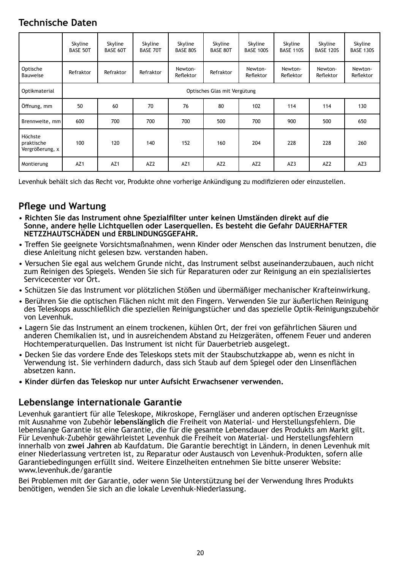#### **Technische Daten**

|                                          | Skyline<br><b>BASE 50T</b> | Skyline<br><b>BASE 60T</b>   | Skyline<br><b>BASE 70T</b> | Skyline<br><b>BASE 80S</b> | Skyline<br><b>BASE 80T</b> | Skyline<br><b>BASE 100S</b> | Skyline<br><b>BASE 110S</b> | Skyline<br><b>BASE 120S</b> | Skyline<br><b>BASE 130S</b> |  |
|------------------------------------------|----------------------------|------------------------------|----------------------------|----------------------------|----------------------------|-----------------------------|-----------------------------|-----------------------------|-----------------------------|--|
| Optische<br>Bauweise                     | Refraktor                  | Refraktor                    | Refraktor                  | Newton-<br>Reflektor       | Refraktor                  | Newton-<br>Reflektor        | Newton-<br>Reflektor        | Newton-<br>Reflektor        | Newton-<br>Reflektor        |  |
| Optikmaterial                            |                            | Optisches Glas mit Vergütung |                            |                            |                            |                             |                             |                             |                             |  |
| Öffnung, mm                              | 50                         | 60                           | 70                         | 76                         | 80                         | 102                         | 114                         | 114                         | 130                         |  |
| Brennweite, mm                           | 600                        | 700                          | 700                        | 700                        | 500                        | 700                         | 900                         | 500                         | 650                         |  |
| Höchste<br>praktische<br>Vergrößerung, x | 100                        | 120                          | 140                        | 152                        | 160                        | 204                         | 228                         | 228                         | 260                         |  |
| Montierung                               | AZ <sub>1</sub>            | AZ <sub>1</sub>              | AZ <sub>2</sub>            | AZ1                        | AZ <sub>2</sub>            | AZ <sub>2</sub>             | AZ3                         | AZ <sub>2</sub>             | AZ3                         |  |

Levenhuk behält sich das Recht vor, Produkte ohne vorherige Ankündigung zu modifizieren oder einzustellen.

#### **Pflege und Wartung**

- **Richten Sie das Instrument ohne Spezialfilter unter keinen Umständen direkt auf die Sonne, andere helle Lichtquellen oder Laserquellen. Es besteht die Gefahr DAUERHAFTER NETZZHAUTSCHÄDEN und ERBLINDUNGSGEFAHR.**
- Treffen Sie geeignete Vorsichtsmaßnahmen, wenn Kinder oder Menschen das Instrument benutzen, die diese Anleitung nicht gelesen bzw. verstanden haben.
- Versuchen Sie egal aus welchem Grunde nicht, das Instrument selbst auseinanderzubauen, auch nicht zum Reinigen des Spiegels. Wenden Sie sich für Reparaturen oder zur Reinigung an ein spezialisiertes Servicecenter vor Ort.
- Schützen Sie das Instrument vor plötzlichen Stößen und übermäßiger mechanischer Krafteinwirkung.
- Berühren Sie die optischen Flächen nicht mit den Fingern. Verwenden Sie zur äußerlichen Reinigung des Teleskops ausschließlich die speziellen Reinigungstücher und das spezielle Optik-Reinigungszubehör von Levenhuk.
- Lagern Sie das Instrument an einem trockenen, kühlen Ort, der frei von gefährlichen Säuren und anderen Chemikalien ist, und in ausreichendem Abstand zu Heizgeräten, offenem Feuer und anderen Hochtemperaturquellen. Das Instrument ist nicht für Dauerbetrieb ausgelegt.
- Decken Sie das vordere Ende des Teleskops stets mit der Staubschutzkappe ab, wenn es nicht in Verwendung ist. Sie verhindern dadurch, dass sich Staub auf dem Spiegel oder den Linsenflächen absetzen kann.
- **Kinder dürfen das Teleskop nur unter Aufsicht Erwachsener verwenden.**

#### **Lebenslange internationale Garantie**

Levenhuk garantiert für alle Teleskope, Mikroskope, Ferngläser und anderen optischen Erzeugnisse mit Ausnahme von Zubehör **lebenslänglich** die Freiheit von Material- und Herstellungsfehlern. Die lebenslange Garantie ist eine Garantie, die für die gesamte Lebensdauer des Produkts am Markt gilt. Für Levenhuk-Zubehör gewährleistet Levenhuk die Freiheit von Material- und Herstellungsfehlern innerhalb von **zwei Jahren** ab Kaufdatum. Die Garantie berechtigt in Ländern, in denen Levenhuk mit einer Niederlassung vertreten ist, zu Reparatur oder Austausch von Levenhuk-Produkten. sofern alle Garantiebedingungen erfüllt sind. Weitere Einzelheiten entnehmen Sie bitte unserer Website: www.levenhuk.de/garantie

Bei Problemen mit der Garantie, oder wenn Sie Unterstützung bei der Verwendung Ihres Produkts benötigen, wenden Sie sich an die lokale Levenhuk-Niederlassung.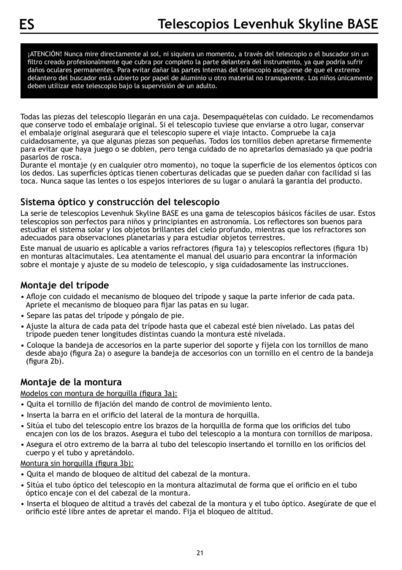¡ATENCIÓN! Nunca mire directamente al sol, ni siquiera un momento, a través del telescopio o el buscador sin un filtro creado profesionalmente que cubra por completo la parte delantera del instrumento, ya que podría sufrir daños oculares permanentes. Para evitar dañar las partes internas del telescopio asegúrese de que el extremo delantero del buscador está cubierto por papel de aluminio u otro material no transparente. Los niños únicamente deben utilizar este telescopio bajo la supervisión de un adulto.

Todas las piezas del telescopio llegarán en una caja. Desempaquételas con cuidado. Le recomendamos que conserve todo el embalaje original. Si el telescopio tuviese que enviarse a otro lugar, conservar el embalaje original asegurará que el telescopio supere el viaje intacto. Compruebe la caja cuidadosamente, ya que algunas piezas son pequeñas. Todos los tornillos deben apretarse firmemente para evitar que haya juego o se doblen, pero tenga cuidado de no apretarlos demasiado ya que podría pasarlos de rosca.

Durante el montaje (y en cualquier otro momento), no toque la superficie de los elementos ópticos con los dedos. Las superficies ópticas tienen coberturas delicadas que se pueden dañar con facilidad si las toca. Nunca saque las lentes o los espejos interiores de su lugar o anulará la garantía del producto.

#### **Sistema óptico y construcción del telescopio**

La serie de telescopios Levenhuk Skyline BASE es una gama de telescopios básicos fáciles de usar. Estos telescopios son perfectos para niños y principiantes en astronomía. Los reflectores son buenos para estudiar el sistema solar y los objetos brillantes del cielo profundo, mientras que los refractores son adecuados para observaciones planetarias y para estudiar objetos terrestres.

Este manual de usuario es aplicable a varios refractores (figura 1a) y telescopios reflectores (figura 1b) en monturas altacimutales. Lea atentamente el manual del usuario para encontrar la información sobre el montaje y ajuste de su modelo de telescopio, y siga cuidadosamente las instrucciones.

#### **Montaje del trípode**

- Afloje con cuidado el mecanismo de bloqueo del trípode y saque la parte inferior de cada pata. Apriete el mecanismo de bloqueo para fijar las patas en su lugar.
- Separe las patas del trípode y póngalo de pie.
- Ajuste la altura de cada pata del trípode hasta que el cabezal esté bien nivelado. Las patas del trípode pueden tener longitudes distintas cuando la montura esté nivelada.
- Coloque la bandeja de accesorios en la parte superior del soporte y fíjela con los tornillos de mano desde abajo (figura 2a) o asegure la bandeja de accesorios con un tornillo en el centro de la bandeja (figura 2b).

#### **Montaje de la montura**

Modelos con montura de horquilla (figura 3a):

- Quita el tornillo de fijación del mando de control de movimiento lento.
- Inserta la barra en el orificio del lateral de la montura de horquilla.
- Sitúa el tubo del telescopio entre los brazos de la horquilla de forma que los orificios del tubo encajen con los de los brazos. Asegura el tubo del telescopio a la montura con tornillos de mariposa.
- Asegura el otro extremo de la barra al tubo del telescopio insertando el tornillo en los orificios del cuerpo y el tubo y apretándolo.

Montura sin horquilla (figura 3b):

- Quita el mando de bloqueo de altitud del cabezal de la montura.
- Sitúa el tubo óptico del telescopio en la montura altazimutal de forma que el orificio en el tubo óptico encaje con el del cabezal de la montura.
- Inserta el bloqueo de altitud a través del cabezal de la montura y el tubo óptico. Asegúrate de que el orificio esté libre antes de apretar el mando. Fija el bloqueo de altitud.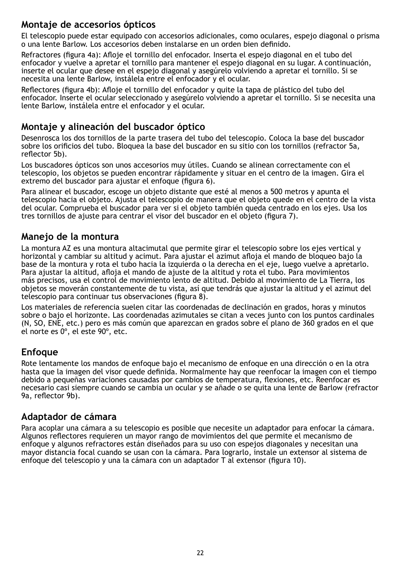#### **Montaje de accesorios ópticos**

El telescopio puede estar equipado con accesorios adicionales, como oculares, espejo diagonal o prisma o una lente Barlow. Los accesorios deben instalarse en un orden bien definido.

Refractores (figura 4a): Afloje el tornillo del enfocador. Inserta el espejo diagonal en el tubo del enfocador y vuelve a apretar el tornillo para mantener el espejo diagonal en su lugar. A continuación, inserte el ocular que desee en el espejo diagonal y asegúrelo volviendo a apretar el tornillo. Si se necesita una lente Barlow, instálela entre el enfocador y el ocular.

Reflectores (figura 4b): Afloje el tornillo del enfocador y quite la tapa de plástico del tubo del enfocador. Inserte el ocular seleccionado y asegúrelo volviendo a apretar el tornillo. Si se necesita una lente Barlow, instálela entre el enfocador y el ocular.

#### **Montaje y alineación del buscador óptico**

Desenrosca los dos tornillos de la parte trasera del tubo del telescopio. Coloca la base del buscador sobre los orificios del tubo. Bloquea la base del buscador en su sitio con los tornillos (refractor 5a, reflector 5b).

Los buscadores ópticos son unos accesorios muy útiles. Cuando se alinean correctamente con el telescopio, los objetos se pueden encontrar rápidamente y situar en el centro de la imagen. Gira el extremo del buscador para ajustar el enfoque (figura 6).

Para alinear el buscador, escoge un objeto distante que esté al menos a 500 metros y apunta el telescopio hacia el objeto. Ajusta el telescopio de manera que el objeto quede en el centro de la vista del ocular. Comprueba el buscador para ver si el objeto también queda centrado en los ejes. Usa los tres tornillos de ajuste para centrar el visor del buscador en el objeto (figura 7).

#### **Manejo de la montura**

La montura AZ es una montura altacimutal que permite girar el telescopio sobre los ejes vertical y horizontal y cambiar su altitud y acimut. Para ajustar el azimut afloja el mando de bloqueo bajo la base de la montura y rota el tubo hacia la izquierda o la derecha en el eje, luego vuelve a apretarlo. Para ajustar la altitud, afloja el mando de ajuste de la altitud y rota el tubo. Para movimientos más precisos, usa el control de movimiento lento de altitud. Debido al movimiento de La Tierra, los objetos se moverán constantemente de tu vista, así que tendrás que ajustar la altitud y el azimut del telescopio para continuar tus observaciones (figura 8).

Los materiales de referencia suelen citar las coordenadas de declinación en grados, horas y minutos sobre o bajo el horizonte. Las coordenadas azimutales se citan a veces junto con los puntos cardinales (N, SO, ENE, etc.) pero es más común que aparezcan en grados sobre el plano de 360 grados en el que el norte es 0º, el este 90º, etc.

#### **Enfoque**

Rote lentamente los mandos de enfoque bajo el mecanismo de enfoque en una dirección o en la otra hasta que la imagen del visor quede definida. Normalmente hay que reenfocar la imagen con el tiempo debido a pequeñas variaciones causadas por cambios de temperatura, flexiones, etc. Reenfocar es necesario casi siempre cuando se cambia un ocular y se añade o se quita una lente de Barlow (refractor 9a, reflector 9b).

#### **Adaptador de cámara**

Para acoplar una cámara a su telescopio es posible que necesite un adaptador para enfocar la cámara. Algunos reflectores requieren un mayor rango de movimientos del que permite el mecanismo de enfoque y algunos refractores están diseñados para su uso con espejos diagonales y necesitan una mayor distancia focal cuando se usan con la cámara. Para lograrlo, instale un extensor al sistema de enfoque del telescopio y una la cámara con un adaptador T al extensor (figura 10).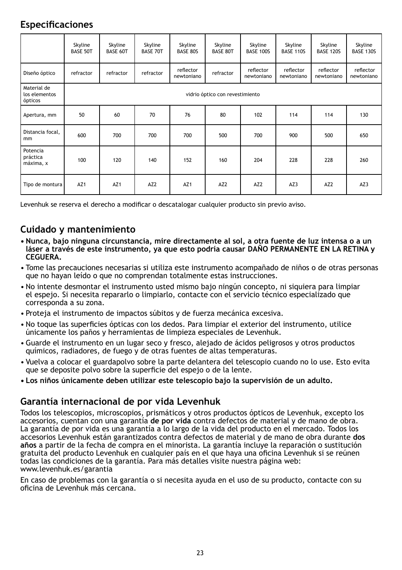#### **Especificaciones**

|                                         | Skyline<br><b>BASE 50T</b> | Skyline<br>BASE 60T             | Skyline<br><b>BASE 70T</b> | Skyline<br><b>BASE 80S</b> | Skyline<br><b>BASE 80T</b> | Skyline<br><b>BASE 100S</b> | Skyline<br><b>BASE 110S</b> | Skyline<br><b>BASE 120S</b> | Skyline<br><b>BASE 130S</b> |  |
|-----------------------------------------|----------------------------|---------------------------------|----------------------------|----------------------------|----------------------------|-----------------------------|-----------------------------|-----------------------------|-----------------------------|--|
| Diseño óptico                           | refractor                  | refractor                       | refractor                  | reflector<br>newtoniano    | refractor                  | reflector<br>newtoniano     | reflector<br>newtoniano     | reflector<br>newtoniano     | reflector<br>newtoniano     |  |
| Material de<br>los elementos<br>ópticos |                            | vidrio óptico con revestimiento |                            |                            |                            |                             |                             |                             |                             |  |
| Apertura, mm                            | 50                         | 60                              | 70                         | 76                         | 80                         | 102                         | 114                         | 114                         | 130                         |  |
| Distancia focal.<br>mm                  | 600                        | 700                             | 700                        | 700                        | 500                        | 700                         | 900                         | 500                         | 650                         |  |
| Potencia<br>práctica<br>máxima, x       | 100                        | 120                             | 140                        | 152                        | 160                        | 204                         | 228                         | 228                         | 260                         |  |
| Tipo de montura                         | AZ <sub>1</sub>            | AZ <sub>1</sub>                 | AZ <sub>2</sub>            | AZ1                        | AZ <sub>2</sub>            | AZ <sub>2</sub>             | AZ3                         | AZ <sub>2</sub>             | AZ3                         |  |

Levenhuk se reserva el derecho a modificar o descatalogar cualquier producto sin previo aviso.

#### **Cuidado y mantenimiento**

- **• Nunca, bajo ninguna circunstancia, mire directamente al sol, a otra fuente de luz intensa o a un láser a través de este instrumento, ya que esto podría causar DAÑO PERMANENTE EN LA RETINA y CEGUERA.**
- Tome las precauciones necesarias si utiliza este instrumento acompañado de niños o de otras personas que no hayan leído o que no comprendan totalmente estas instrucciones.
- No intente desmontar el instrumento usted mismo bajo ningún concepto, ni siquiera para limpiar el espejo. Si necesita repararlo o limpiarlo, contacte con el servicio técnico especializado que corresponda a su zona.
- Proteja el instrumento de impactos súbitos y de fuerza mecánica excesiva.
- No toque las superficies ópticas con los dedos. Para limpiar el exterior del instrumento, utilice únicamente los paños y herramientas de limpieza especiales de Levenhuk.
- Guarde el instrumento en un lugar seco y fresco, alejado de ácidos peligrosos y otros productos químicos, radiadores, de fuego y de otras fuentes de altas temperaturas.
- Vuelva a colocar el guardapolvo sobre la parte delantera del telescopio cuando no lo use. Esto evita que se deposite polvo sobre la superficie del espejo o de la lente.
- **• Los niños únicamente deben utilizar este telescopio bajo la supervisión de un adulto.**

#### **Garantía internacional de por vida Levenhuk**

Todos los telescopios, microscopios, prismáticos y otros productos ópticos de Levenhuk, excepto los accesorios, cuentan con una garantía **de por vida** contra defectos de material y de mano de obra. La garantía de por vida es una garantía a lo largo de la vida del producto en el mercado. Todos los accesorios Levenhuk están garantizados contra defectos de material y de mano de obra durante **dos años** a partir de la fecha de compra en el minorista. La garantía incluye la reparación o sustitución gratuita del producto Levenhuk en cualquier país en el que haya una oficina Levenhuk si se reúnen todas las condiciones de la garantía. Para más detalles visite nuestra página web: www.levenhuk.es/garantia

En caso de problemas con la garantía o si necesita ayuda en el uso de su producto, contacte con su oficina de Levenhuk más cercana.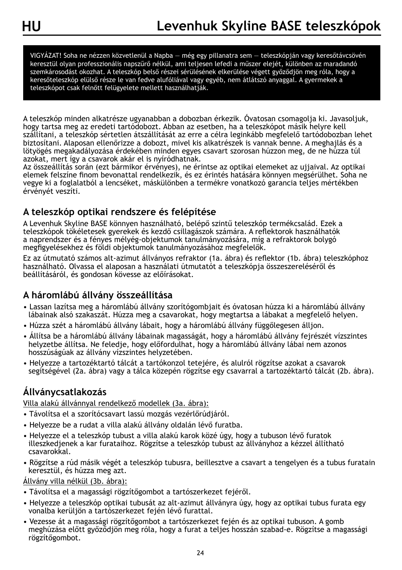VIGYÁZAT! Soha ne nézzen közvetlenül a Napba — még egy pillanatra sem — teleszkópján vagy keresőtávcsövén keresztül olyan professzionális napszűrő nélkül, ami teljesen lefedi a műszer elejét, különben az maradandó szemkárosodást okozhat. A teleszkóp belső részei sérülésének elkerülése végett győződjön meg róla, hogy a keresőteleszkóp elülső része le van fedve alufóliával vagy egyéb, nem átlátszó anyaggal. A gyermekek a teleszkópot csak felnőtt felügyelete mellett használhatják.

A teleszkóp minden alkatrésze ugyanabban a dobozban érkezik. Óvatosan csomagolja ki. Javasoljuk, hogy tartsa meg az eredeti tartódobozt. Abban az esetben, ha a teleszkópot másik helyre kell szállítani, a teleszkóp sértetlen átszállítását az erre a célra leginkább megfelelő tartódobozban lehet biztosítani. Alaposan ellenőrizze a dobozt, mivel kis alkatrészek is vannak benne. A meghajlás és a lötyögés megakadályozása érdekében minden egyes csavart szorosan húzzon meg, de ne húzza túl azokat, mert így a csavarok akár el is nyíródhatnak.

Az összeállítás során (ezt bármikor érvényes), ne érintse az optikai elemeket az ujjaival. Az optikai elemek felszíne finom bevonattal rendelkezik, és ez érintés hatására könnyen megsérülhet. Soha ne vegye ki a foglalatból a lencséket, máskülönben a termékre vonatkozó garancia teljes mértékben érvényét veszíti.

#### **A teleszkóp optikai rendszere és felépítése**

A Levenhuk Skyline BASE könnyen használható, belépő szintű teleszkóp termékcsalád. Ezek a teleszkópok tökéletesek gyerekek és kezdő csillagászok számára. A reflektorok használhatók a naprendszer és a fényes mélyég-objektumok tanulmányozására, míg a refraktorok bolygó megfigyelésekhez és földi objektumok tanulmányozásához megfelelők.

Ez az útmutató számos alt-azimut állványos refraktor (1a. ábra) és reflektor (1b. ábra) teleszkóphoz használható. Olvassa el alaposan a használati útmutatót a teleszkópja összeszereléséről és beállításáról, és gondosan kövesse az előírásokat.

#### **A háromlábú állvány összeállítása**

- Lassan lazítsa meg a háromlábú állvány szorítógombjait és óvatosan húzza ki a háromlábú állvány lábainak alsó szakaszát. Húzza meg a csavarokat, hogy megtartsa a lábakat a megfelelő helyen.
- Húzza szét a háromlábú állvány lábait, hogy a háromlábú állvány függőlegesen álljon.
- Állítsa be a háromlábú állvány lábainak magasságát, hogy a háromlábú állvány fejrészét vízszintes helyzetbe állítsa. Ne feledje, hogy előfordulhat, hogy a háromlábú állvány lábai nem azonos hosszúságúak az állvány vízszintes helyzetében.
- Helyezze a tartozéktartó tálcát a tartókonzol tetejére, és alulról rögzítse azokat a csavarok segítségével (2a. ábra) vagy a tálca közepén rögzítse egy csavarral a tartozéktartó tálcát (2b. ábra).

#### **Állványcsatlakozás**

Villa alakú állvánnyal rendelkező modellek (3a. ábra):

- Távolítsa el a szorítócsavart lassú mozgás vezérlőrúdjáról.
- Helyezze be a rudat a villa alakú állvány oldalán lévő furatba.
- Helyezze el a teleszkóp tubust a villa alakú karok közé úgy, hogy a tubuson lévő furatok illeszkedjenek a kar furataihoz. Rögzítse a teleszkóp tubust az állványhoz a kézzel állítható csavarokkal.
- Rögzítse a rúd másik végét a teleszkóp tubusra, beillesztve a csavart a tengelyen és a tubus furatain keresztül, és húzza meg azt.

#### Állvány villa nélkül (3b. ábra):

- Távolítsa el a magassági rögzítőgombot a tartószerkezet fejéről.
- Helyezze a teleszkóp optikai tubusát az alt-azimut állványra úgy, hogy az optikai tubus furata egy vonalba kerüljön a tartószerkezet fején lévő furattal.
- Vezesse át a magassági rögzítőgombot a tartószerkezet fején és az optikai tubuson. A gomb meghúzása előtt győződjön meg róla, hogy a furat a teljes hosszán szabad-e. Rögzítse a magassági rögzítőgombot.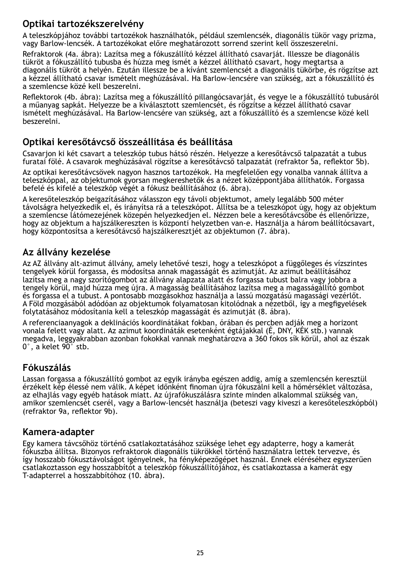#### **Optikai tartozékszerelvény**

A teleszkópjához további tartozékok használhatók, például szemlencsék, diagonális tükör vagy prizma, vagy Barlow-lencsék. A tartozékokat előre meghatározott sorrend szerint kell összeszerelni.

Refraktorok (4a. ábra): Lazítsa meg a fókuszállító kézzel állítható csavarját. Illessze be diagonális tükröt a fókuszállító tubusba és húzza meg ismét a kézzel állítható csavart, hogy megtartsa a diagonális tükröt a helyén. Ezután illessze be a kívánt szemlencsét a diagonális tükörbe, és rögzítse azt a kézzel állítható csavar ismételt meghúzásával. Ha Barlow-lencsére van szükség, azt a fókuszállító és a szemlencse közé kell beszerelni.

Reflektorok (4b. ábra): Lazítsa meg a fókuszállító pillangócsavarját, és vegye le a fókuszállító tubusáról a műanyag sapkát. Helyezze be a kiválasztott szemlencsét, és rögzítse a kézzel állítható csavar ismételt meghúzásával. Ha Barlow-lencsére van szükség, azt a fókuszállító és a szemlencse közé kell beszerelni.

#### **Optikai keresőtávcső összeállítása és beállítása**

Csavarjon ki két csavart a teleszkóp tubus hátsó részén. Helyezze a keresőtávcső talpazatát a tubus furatai fölé. A csavarok meghúzásával rögzítse a keresőtávcső talpazatát (refraktor 5a, reflektor 5b).

Az optikai keresőtávcsövek nagyon hasznos tartozékok. Ha megfelelően egy vonalba vannak állítva a teleszkóppal, az objektumok gyorsan megkereshetők és a nézet középpontjába állíthatók. Forgassa befelé és kifelé a teleszkóp végét a fókusz beállításához (6. ábra).

A keresőteleszkóp beigazításához válasszon egy távoli objektumot, amely legalább 500 méter távolságra helyezkedik el, és irányítsa rá a teleszkópot. Állítsa be a teleszkópot úgy, hogy az objektum a szemlencse látómezejének közepén helyezkedjen el. Nézzen bele a keresőtávcsőbe és ellenőrizze, hogy az objektum a hajszálkereszten is központi helyzetben van-e. Használja a három beállítócsavart, hogy központosítsa a keresőtávcső hajszálkeresztjét az objektumon (7. ábra).

#### **Az állvány kezelése**

Az AZ állvány alt-azimut állvány, amely lehetővé teszi, hogy a teleszkópot a függőleges és vízszintes tengelyek körül forgassa, és módosítsa annak magasságát és azimutját. Az azimut beállításához lazítsa meg a nagy szorítógombot az állvány alapzata alatt és forgassa tubust balra vagy jobbra a tengely körül, majd húzza meg újra. A magasság beállításához lazítsa meg a magasságállító gombot és forgassa el a tubust. A pontosabb mozgásokhoz használja a lassú mozgatású magassági vezérlőt. A Föld mozgásából adódóan az objektumok folyamatosan kitolódnak a nézetből, így a megfigyelések folytatásához módosítania kell a teleszkóp magasságát és azimutját (8. ábra).

A referenciaanyagok a deklinációs koordinátákat fokban, órában és percben adják meg a horizont vonala felett vagy alatt. Az azimut koordináták esetenként égtájakkal (É, DNY, KÉK stb.) vannak megadva, leggyakrabban azonban fokokkal vannak meghatározva a 360 fokos sík körül, ahol az észak 0°, a kelet 90° stb.

#### **Fókuszálás**

Lassan forgassa a fókuszállító gombot az egyik irányba egészen addig, amíg a szemlencsén keresztül érzékelt kép élessé nem válik. A képet időnként finoman újra fókuszálni kell a hőmérséklet változása, az elhajlás vagy egyéb hatások miatt. Az újrafókuszálásra szinte minden alkalommal szükség van, amikor szemlencsét cserél, vagy a Barlow-lencsét használja (beteszi vagy kiveszi a keresőteleszkópból) (refraktor 9a, reflektor 9b).

#### **Kamera-adapter**

Egy kamera távcsőhöz történő csatlakoztatásához szüksége lehet egy adapterre, hogy a kamerát fókuszba állítsa. Bizonyos refraktorok diagonális tükrökkel történő használatra lettek tervezve, és így hosszabb fókusztávolságot igényelnek, ha fényképezőgépet használ. Ennek eléréséhez egyszerűen csatlakoztasson egy hosszabbítót a teleszkóp fókuszállítójához, és csatlakoztassa a kamerát egy T-adapterrel a hosszabbítóhoz (10. ábra).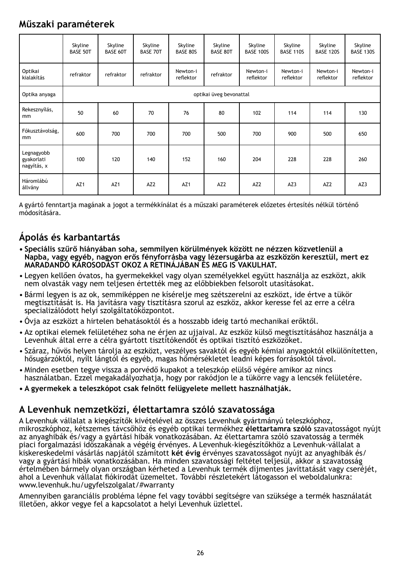#### **Műszaki paraméterek**

|                                         | Skyline<br><b>BASE 50T</b> | Skyline<br><b>BASE 60T</b> | Skyline<br><b>BASE 70T</b> | Skyline<br>BASE 80S   | Skyline<br><b>BASE 80T</b> | Skyline<br><b>BASE 100S</b> | Skyline<br><b>BASE 110S</b> | Skyline<br><b>BASE 120S</b> | Skyline<br><b>BASE 130S</b> |  |
|-----------------------------------------|----------------------------|----------------------------|----------------------------|-----------------------|----------------------------|-----------------------------|-----------------------------|-----------------------------|-----------------------------|--|
| Optikai<br>kialakítás                   | refraktor                  | refraktor                  | refraktor                  | Newton-i<br>reflektor | refraktor                  | Newton-i<br>reflektor       | Newton-i<br>reflektor       | Newton-i<br>reflektor       | Newton-i<br>reflektor       |  |
| Optika anyaga                           |                            | optikai üveg bevonattal    |                            |                       |                            |                             |                             |                             |                             |  |
| Rekesznyílás,<br>mm                     | 50                         | 60                         | 70                         | 76                    | 80                         | 102                         | 114                         | 114                         | 130                         |  |
| Fókusztávolság,<br>mm                   | 600                        | 700                        | 700                        | 700                   | 500                        | 700                         | 900                         | 500                         | 650                         |  |
| Legnagyobb<br>gyakorlati<br>nagyítás, x | 100                        | 120                        | 140                        | 152                   | 160                        | 204                         | 228                         | 228                         | 260                         |  |
| Háromlábú<br>állvány                    | AZ1                        | AZ <sub>1</sub>            | AZ <sub>2</sub>            | AZ <sub>1</sub>       | AZ <sub>2</sub>            | AZ <sub>2</sub>             | AZ3                         | AZ <sub>2</sub>             | AZ3                         |  |

A gyártó fenntartja magának a jogot a termékkínálat és a műszaki paraméterek előzetes értesítés nélkül történő módosítására.

### **Ápolás és karbantartás**

- **• Speciális szűrő hiányában soha, semmilyen körülmények között ne nézzen közvetlenül a Napba, vagy egyéb, nagyon erős fényforrásba vagy lézersugárba az eszközön keresztül, mert ez MARADANDÓ KÁROSODÁST OKOZ A RETINÁJÁBAN ÉS MEG IS VAKULHAT.**
- Legyen kellően óvatos, ha gyermekekkel vagy olyan személyekkel együtt használja az eszközt, akik nem olvasták vagy nem teljesen értették meg az előbbiekben felsorolt utasításokat.
- Bármi legyen is az ok, semmiképpen ne kísérelje meg szétszerelni az eszközt, ide értve a tükör megtisztítását is. Ha javításra vagy tisztításra szorul az eszköz, akkor keresse fel az erre a célra specializálódott helyi szolgáltatóközpontot.
- Óvja az eszközt a hirtelen behatásoktól és a hosszabb ideig tartó mechanikai erőktől.
- Az optikai elemek felületéhez soha ne érjen az ujjaival. Az eszköz külső megtisztításához használja a Levenhuk által erre a célra gyártott tisztítókendőt és optikai tisztító eszközöket.
- Száraz, hűvös helyen tárolja az eszközt, veszélyes savaktól és egyéb kémiai anyagoktól elkülönítetten, hősugárzóktól, nyílt lángtól és egyéb, magas hőmérsékletet leadni képes forrásoktól távol.
- Minden esetben tegye vissza a porvédő kupakot a teleszkóp elülső végére amikor az nincs használatban. Ezzel megakadályozhatja, hogy por rakódjon le a tükörre vagy a lencsék felületére.
- **• A gyermekek a teleszkópot csak felnőtt felügyelete mellett használhatják.**

#### **A Levenhuk nemzetközi, élettartamra szóló szavatossága**

A Levenhuk vállalat a kiegészítők kivételével az összes Levenhuk gyártmányú teleszkóphoz, mikroszkóphoz, kétszemes távcsőhöz és egyéb optikai termékhez **élettartamra szóló** szavatosságot nyújt az anyaghibák és/vagy a gyártási hibák vonatkozásában. Az élettartamra szóló szavatosság a termék piaci forgalmazási időszakának a végéig érvényes. A Levenhuk-kiegészítőkhöz a Levenhuk-vállalat a kiskereskedelmi vásárlás napjától számított **két évig** érvényes szavatosságot nyújt az anyaghibák és/ vagy a gyártási hibák vonatkozásában. Ha minden szavatossági feltétel teljesül, akkor a szavatosság értelmében bármely olyan országban kérheted a Levenhuk termék díjmentes javíttatását vagy cseréjét, ahol a Levenhuk vállalat fiókirodát üzemeltet. További részletekért látogasson el weboldalunkra: www.levenhuk.hu/ugyfelszolgalat/#warranty

Amennyiben garanciális probléma lépne fel vagy további segítségre van szüksége a termék használatát illetően, akkor vegye fel a kapcsolatot a helyi Levenhuk üzlettel.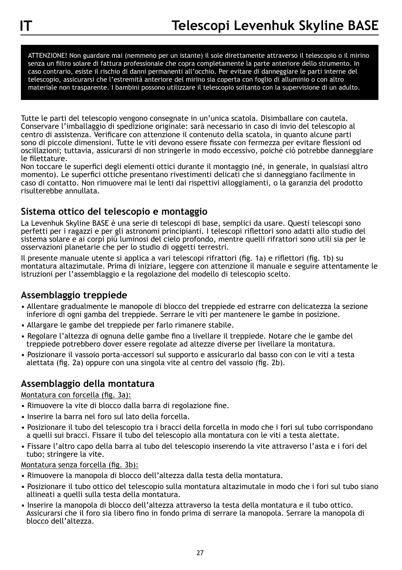ATTENZIONE! Non guardare mai (nemmeno per un istante) il sole direttamente attraverso il telescopio o il mirino senza un filtro solare di fattura professionale che copra completamente la parte anteriore dello strumento. In caso contrario, esiste il rischio di danni permanenti all'occhio. Per evitare di danneggiare le parti interne del telescopio, assicurarsi che l'estremità anteriore del mirino sia coperta con foglio di alluminio o con altro materiale non trasparente. I bambini possono utilizzare il telescopio soltanto con la supervisione di un adulto.

Tutte le parti del telescopio vengono consegnate in un'unica scatola. Disimballare con cautela. Conservare l'imballaggio di spedizione originale: sarà necessario in caso di invio del telescopio al centro di assistenza. Verificare con attenzione il contenuto della scatola, in quanto alcune parti sono di piccole dimensioni. Tutte le viti devono essere fissate con fermezza per evitare flessioni od oscillazioni; tuttavia, assicurarsi di non stringerle in modo eccessivo, poiché ciò potrebbe danneggiare le filettature.

Non toccare le superfici degli elementi ottici durante il montaggio (né, in generale, in qualsiasi altro momento). Le superfici ottiche presentano rivestimenti delicati che si danneggiano facilmente in caso di contatto. Non rimuovere mai le lenti dai rispettivi alloggiamenti, o la garanzia del prodotto risulterebbe annullata.

#### **Sistema ottico del telescopio e montaggio**

La Levenhuk Skyline BASE è una serie di telescopi di base, semplici da usare. Questi telescopi sono perfetti per i ragazzi e per gli astronomi principianti. I telescopi riflettori sono adatti allo studio del sistema solare e ai corpi più luminosi del cielo profondo, mentre quelli rifrattori sono utili sia per le osservazioni planetarie che per lo studio di oggetti terrestri.

Il presente manuale utente si applica a vari telescopi rifrattori (fig. 1a) e riflettori (fig. 1b) su montatura altazimutale. Prima di iniziare, leggere con attenzione il manuale e seguire attentamente le istruzioni per l'assemblaggio e la regolazione del modello di telescopio scelto.

#### **Assemblaggio treppiede**

- Allentare gradualmente le manopole di blocco del treppiede ed estrarre con delicatezza la sezione inferiore di ogni gamba del treppiede. Serrare le viti per mantenere le gambe in posizione.
- Allargare le gambe del treppiede per farlo rimanere stabile.
- Regolare l'altezza di ognuna delle gambe fino a livellare il treppiede. Notare che le gambe del treppiede potrebbero dover essere regolate ad altezze diverse per livellare la montatura.
- Posizionare il vassoio porta-accessori sul supporto e assicurarlo dal basso con con le viti a testa alettata (fig. 2a) oppure con una singola vite al centro del vassoio (fig. 2b).

#### **Assemblaggio della montatura**

#### Montatura con forcella (fig. 3a):

- Rimuovere la vite di blocco dalla barra di regolazione fine.
- Inserire la barra nel foro sul lato della forcella.
- Posizionare il tubo del telescopio tra i bracci della forcella in modo che i fori sul tubo corrispondano a quelli sui bracci. Fissare il tubo del telescopio alla montatura con le viti a testa alettate.
- Fissare l'altro capo della barra al tubo del telescopio inserendo la vite attraverso l'asta e i fori del tubo; stringere la vite.

#### Montatura senza forcella (fig. 3b):

- Rimuovere la manopola di blocco dell'altezza dalla testa della montatura.
- Posizionare il tubo ottico del telescopio sulla montatura altazimutale in modo che i fori sul tubo siano allineati a quelli sulla testa della montatura.
- Inserire la manopola di blocco dell'altezza attraverso la testa della montatura e il tubo ottico. Assicurarsi che il foro sia libero fino in fondo prima di serrare la manopola. Serrare la manopola di blocco dell'altezza.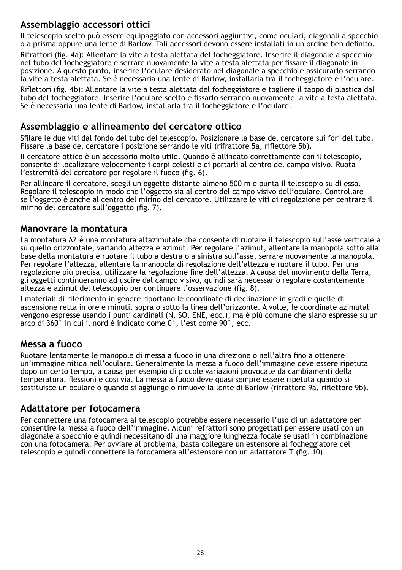#### **Assemblaggio accessori ottici**

Il telescopio scelto può essere equipaggiato con accessori aggiuntivi, come oculari, diagonali a specchio o a prisma oppure una lente di Barlow. Tali accessori devono essere installati in un ordine ben definito.

Rifrattori (fig. 4a): Allentare la vite a testa alettata del focheggiatore. Inserire il diagonale a specchio nel tubo del focheggiatore e serrare nuovamente la vite a testa alettata per fissare il diagonale in posizione. A questo punto, inserire l'oculare desiderato nel diagonale a specchio e assicurarlo serrando la vite a testa alettata. Se è necessaria una lente di Barlow, installarla tra il focheggiatore e l'oculare.

Riflettori (fig. 4b): Allentare la vite a testa alettata del focheggiatore e togliere il tappo di plastica dal tubo del focheggiatore. Inserire l'oculare scelto e fissarlo serrando nuovamente la vite a testa alettata. Se è necessaria una lente di Barlow, installarla tra il focheggiatore e l'oculare.

#### **Assemblaggio e allineamento del cercatore ottico**

Sfilare le due viti dal fondo del tubo del telescopio. Posizionare la base del cercatore sui fori del tubo. Fissare la base del cercatore i posizione serrando le viti (rifrattore 5a, riflettore 5b).

Il cercatore ottico è un accessorio molto utile. Quando è allineato correttamente con il telescopio, consente di localizzare velocemente i corpi celesti e di portarli al centro del campo visivo. Ruota l'estremità del cercatore per regolare il fuoco (fig. 6).

Per allineare il cercatore, scegli un oggetto distante almeno 500 m e punta il telescopio su di esso. Regolare il telescopio in modo che l'oggetto sia al centro del campo visivo dell'oculare. Controllare se l'oggetto è anche al centro del mirino del cercatore. Utilizzare le viti di regolazione per centrare il mirino del cercatore sull'oggetto (fig. 7).

#### **Manovrare la montatura**

La montatura AZ è una montatura altazimutale che consente di ruotare il telescopio sull'asse verticale a su quello orizzontale, variando altezza e azimut. Per regolare l'azimut, allentare la manopola sotto alla base della montatura e ruotare il tubo a destra o a sinistra sull'asse, serrare nuovamente la manopola. Per regolare l'altezza, allentare la manopola di regolazione dell'altezza e ruotare il tubo. Per una regolazione più precisa, utilizzare la regolazione fine dell'altezza. A causa del movimento della Terra, gli oggetti continueranno ad uscire dal campo visivo, quindi sarà necessario regolare costantemente altezza e azimut del telescopio per continuare l'osservazione (fig. 8).

I materiali di riferimento in genere riportano le coordinate di declinazione in gradi e quelle di ascensione retta in ore e minuti, sopra o sotto la linea dell'orizzonte. A volte, le coordinate azimutali vengono espresse usando i punti cardinali (N, SO, ENE, ecc.), ma è più comune che siano espresse su un arco di 360° in cui il nord è indicato come 0°, l'est come 90°, ecc.

#### **Messa a fuoco**

Ruotare lentamente le manopole di messa a fuoco in una direzione o nell'altra fino a ottenere un'immagine nitida nell'oculare. Generalmente la messa a fuoco dell'immagine deve essere ripetuta dopo un certo tempo, a causa per esempio di piccole variazioni provocate da cambiamenti della temperatura, flessioni e così via. La messa a fuoco deve quasi sempre essere ripetuta quando si sostituisce un oculare o quando si aggiunge o rimuove la lente di Barlow (rifrattore 9a, riflettore 9b).

#### **Adattatore per fotocamera**

Per connettere una fotocamera al telescopio potrebbe essere necessario l'uso di un adattatore per consentire la messa a fuoco dell'immagine. Alcuni refrattori sono progettati per essere usati con un diagonale a specchio e quindi necessitano di una maggiore lunghezza focale se usati in combinazione con una fotocamera. Per ovviare al problema, basta collegare un estensore al focheggiatore del telescopio e quindi connettere la fotocamera all'estensore con un adattatore T (fig. 10).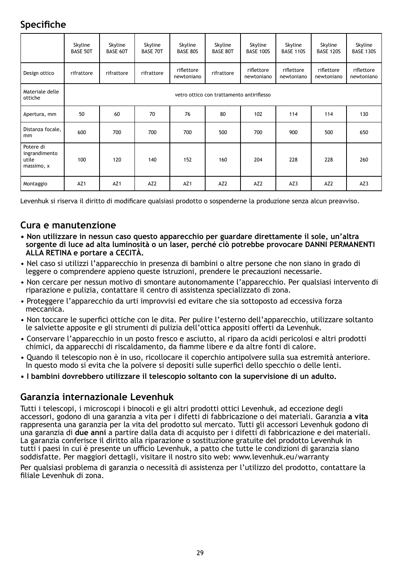## **Specifiche**

|                                                   | Skyline<br><b>BASE 50T</b> | Skyline<br>BASE 60T                       | Skyline<br><b>BASE 70T</b> | Skyline<br>BASE 80S      | Skyline<br><b>BASE 80T</b> | Skyline<br><b>BASE 100S</b> | Skyline<br><b>BASE 110S</b> | Skyline<br><b>BASE 120S</b> | Skyline<br><b>BASE 130S</b> |  |  |
|---------------------------------------------------|----------------------------|-------------------------------------------|----------------------------|--------------------------|----------------------------|-----------------------------|-----------------------------|-----------------------------|-----------------------------|--|--|
| Design ottico                                     | rifrattore                 | rifrattore                                | rifrattore                 | riflettore<br>newtoniano | rifrattore                 | riflettore<br>newtoniano    | riflettore<br>newtoniano    | riflettore<br>newtoniano    | riflettore<br>newtoniano    |  |  |
| Materiale delle<br>ottiche                        |                            | vetro ottico con trattamento antiriflesso |                            |                          |                            |                             |                             |                             |                             |  |  |
| Apertura, mm                                      | 50                         | 60                                        | 70                         | 76                       | 80                         | 102                         | 114                         | 114                         | 130                         |  |  |
| Distanza focale.<br>mm                            | 600                        | 700                                       | 700                        | 700                      | 500                        | 700                         | 900                         | 500                         | 650                         |  |  |
| Potere di<br>ingrandimento<br>utile<br>massimo, x | 100                        | 120                                       | 140                        | 152                      | 160                        | 204                         | 228                         | 228                         | 260                         |  |  |
| Montaggio                                         | AZ <sub>1</sub>            | AZ <sub>1</sub>                           | AZ <sub>2</sub>            | AZ1                      | AZ <sub>2</sub>            | AZ <sub>2</sub>             | AZ3                         | AZ <sub>2</sub>             | AZ3                         |  |  |

Levenhuk si riserva il diritto di modificare qualsiasi prodotto o sospenderne la produzione senza alcun preavviso.

#### **Cura e manutenzione**

- **Non utilizzare in nessun caso questo apparecchio per guardare direttamente il sole, un'altra sorgente di luce ad alta luminosità o un laser, perché ciò potrebbe provocare DANNI PERMANENTI ALLA RETINA e portare a CECITÀ.**
- Nel caso si utilizzi l'apparecchio in presenza di bambini o altre persone che non siano in grado di leggere o comprendere appieno queste istruzioni, prendere le precauzioni necessarie.
- Non cercare per nessun motivo di smontare autonomamente l'apparecchio. Per qualsiasi intervento di riparazione e pulizia, contattare il centro di assistenza specializzato di zona.
- Proteggere l'apparecchio da urti improvvisi ed evitare che sia sottoposto ad eccessiva forza meccanica.
- Non toccare le superfici ottiche con le dita. Per pulire l'esterno dell'apparecchio, utilizzare soltanto le salviette apposite e gli strumenti di pulizia dell'ottica appositi offerti da Levenhuk.
- Conservare l'apparecchio in un posto fresco e asciutto, al riparo da acidi pericolosi e altri prodotti chimici, da apparecchi di riscaldamento, da fiamme libere e da altre fonti di calore.
- Quando il telescopio non è in uso, ricollocare il coperchio antipolvere sulla sua estremità anteriore. In questo modo si evita che la polvere si depositi sulle superfici dello specchio o delle lenti.
- **I bambini dovrebbero utilizzare il telescopio soltanto con la supervisione di un adulto.**

#### **Garanzia internazionale Levenhuk**

Tutti i telescopi, i microscopi i binocoli e gli altri prodotti ottici Levenhuk, ad eccezione degli accessori, godono di una garanzia a vita per i difetti di fabbricazione o dei materiali. Garanzia **a vita** rappresenta una garanzia per la vita del prodotto sul mercato. Tutti gli accessori Levenhuk godono di una garanzia di **due anni** a partire dalla data di acquisto per i difetti di fabbricazione e dei materiali. La garanzia conferisce il diritto alla riparazione o sostituzione gratuite del prodotto Levenhuk in tutti i paesi in cui è presente un ufficio Levenhuk, a patto che tutte le condizioni di garanzia siano soddisfatte. Per maggiori dettagli, visitare il nostro sito web: www.levenhuk.eu/warranty

Per qualsiasi problema di garanzia o necessità di assistenza per l'utilizzo del prodotto, contattare la filiale Levenhuk di zona.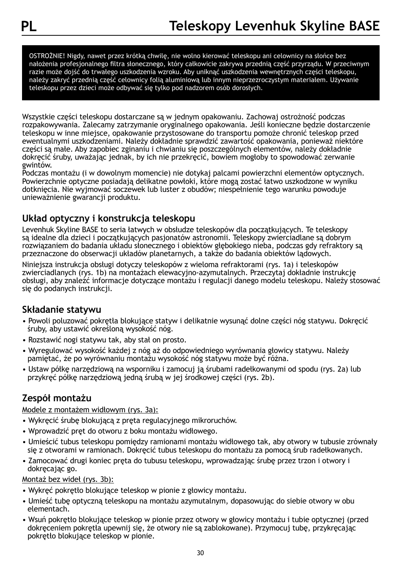OSTROŻNIE! Nigdy, nawet przez krótką chwilę, nie wolno kierować teleskopu ani celownicy na słońce bez nałożenia profesjonalnego filtra słonecznego, który całkowicie zakrywa przednią część przyrządu. W przeciwnym razie może dojść do trwałego uszkodzenia wzroku. Aby uniknąć uszkodzenia wewnętrznych części teleskopu, należy zakryć przednią część celownicy folią aluminiową lub innym nieprzezroczystym materiałem. Używanie teleskopu przez dzieci może odbywać się tylko pod nadzorem osób dorosłych.

Wszystkie części teleskopu dostarczane są w jednym opakowaniu. Zachowaj ostrożność podczas rozpakowywania. Zalecamy zatrzymanie oryginalnego opakowania. Jeśli konieczne będzie dostarczenie teleskopu w inne miejsce, opakowanie przystosowane do transportu pomoże chronić teleskop przed ewentualnymi uszkodzeniami. Należy dokładnie sprawdzić zawartość opakowania, ponieważ niektóre części są małe. Aby zapobiec zginaniu i chwianiu się poszczególnych elementów, należy dokładnie dokręcić śruby, uważając jednak, by ich nie przekręcić, bowiem mogłoby to spowodować zerwanie gwintów.

Podczas montażu (i w dowolnym momencie) nie dotykaj palcami powierzchni elementów optycznych. Powierzchnie optyczne posiadają delikatne powłoki, które mogą zostać łatwo uszkodzone w wyniku dotknięcia. Nie wyjmować soczewek lub luster z obudów; niespełnienie tego warunku powoduje unieważnienie gwarancji produktu.

#### **Układ optyczny i konstrukcja teleskopu**

Levenhuk Skyline BASE to seria łatwych w obsłudze teleskopów dla początkujących. Te teleskopy są idealne dla dzieci i początkujących pasjonatów astronomii. Teleskopy zwierciadlane są dobrym rozwiązaniem do badania układu słonecznego i obiektów głębokiego nieba, podczas gdy refraktory są przeznaczone do obserwacji układów planetarnych, a także do badania obiektów lądowych.

Niniejsza instrukcja obsługi dotyczy teleskopów z wieloma refraktorami (rys. 1a) i teleskopów zwierciadlanych (rys. 1b) na montażach elewacyjno-azymutalnych. Przeczytaj dokładnie instrukcję obsługi, aby znaleźć informacje dotyczące montażu i regulacji danego modelu teleskopu. Należy stosować się do podanych instrukcji.

#### **Składanie statywu**

- Powoli poluzować pokrętła blokujące statyw i delikatnie wysunąć dolne części nóg statywu. Dokręcić śruby, aby ustawić określoną wysokość nóg.
- Rozstawić nogi statywu tak, aby stał on prosto.
- Wyregulować wysokość każdej z nóg aż do odpowiedniego wyrównania głowicy statywu. Należy pamiętać, że po wyrównaniu montażu wysokość nóg statywu może być różna.
- Ustaw półkę narzędziową na wsporniku i zamocuj ją śrubami radełkowanymi od spodu (rys. 2a) lub przykręć półkę narzędziową jedną śrubą w jej środkowej części (rys. 2b).

#### **Zespół montażu**

#### Modele z montażem widłowym (rys. 3a):

- Wykręcić śrubę blokującą z pręta regulacyjnego mikroruchów.
- Wprowadzić pręt do otworu z boku montażu widłowego.
- Umieścić tubus teleskopu pomiędzy ramionami montażu widłowego tak, aby otwory w tubusie zrównały się z otworami w ramionach. Dokręcić tubus teleskopu do montażu za pomocą śrub radełkowanych.
- Zamocować drugi koniec pręta do tubusu teleskopu, wprowadzając śrubę przez trzon i otwory i dokręcając go.

#### Montaż bez wideł (rys. 3b):

- Wykręć pokrętło blokujące teleskop w pionie z głowicy montażu.
- Umieść tubę optyczną teleskopu na montażu azymutalnym, dopasowując do siebie otwory w obu elementach.
- Wsuń pokrętło blokujące teleskop w pionie przez otwory w głowicy montażu i tubie optycznej (przed dokręceniem pokrętła upewnij się, że otwory nie są zablokowane). Przymocuj tubę, przykręcając pokrętło blokujące teleskop w pionie.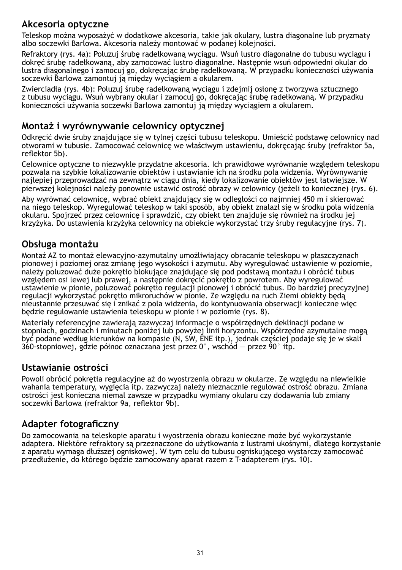#### **Akcesoria optyczne**

Teleskop można wyposażyć w dodatkowe akcesoria, takie jak okulary, lustra diagonalne lub pryzmaty albo soczewki Barlowa. Akcesoria należy montować w podanej kolejności.

Refraktory (rys. 4a): Poluzuj śrubę radełkowaną wyciągu. Wsuń lustro diagonalne do tubusu wyciągu i dokręć śrubę radełkowaną, aby zamocować lustro diagonalne. Następnie wsuń odpowiedni okular do lustra diagonalnego i zamocuj go, dokręcając śrubę radełkowaną. W przypadku konieczności używania soczewki Barlowa zamontuj ją między wyciągiem a okularem.

Zwierciadła (rys. 4b): Poluzuj śrubę radełkowaną wyciągu i zdejmij osłonę z tworzywa sztucznego z tubusu wyciągu. Wsuń wybrany okular i zamocuj go, dokręcając śrubę radełkowaną. W przypadku konieczności używania soczewki Barlowa zamontuj ją między wyciągiem a okularem.

#### **Montaż i wyrównywanie celownicy optycznej**

Odkręcić dwie śruby znajdujące się w tylnej części tubusu teleskopu. Umieścić podstawę celownicy nad otworami w tubusie. Zamocować celownicę we właściwym ustawieniu, dokręcając śruby (refraktor 5a, reflektor 5b).

Celownice optyczne to niezwykle przydatne akcesoria. Ich prawidłowe wyrównanie względem teleskopu pozwala na szybkie lokalizowanie obiektów i ustawianie ich na środku pola widzenia. Wyrównywanie najlepiej przeprowadzać na zewnątrz w ciągu dnia, kiedy lokalizowanie obiektów jest łatwiejsze. W pierwszej kolejności należy ponownie ustawić ostrość obrazy w celownicy (jeżeli to konieczne) (rys. 6).

Aby wyrównać celownicę, wybrać obiekt znajdujący się w odległości co najmniej 450 m i skierować na niego teleskop. Wyregulować teleskop w taki sposób, aby obiekt znalazł się w środku pola widzenia okularu. Spojrzeć przez celownicę i sprawdzić, czy obiekt ten znajduje się również na środku jej krzyżyka. Do ustawienia krzyżyka celownicy na obiekcie wykorzystać trzy śruby regulacyjne (rys. 7).

#### **Obsługa montażu**

Montaż AZ to montaż elewacyjno-azymutalny umożliwiający obracanie teleskopu w płaszczyznach pionowej i poziomej oraz zmianę jego wysokości i azymutu. Aby wyregulować ustawienie w poziomie, należy poluzować duże pokrętło blokujące znajdujące się pod podstawą montażu i obrócić tubus względem osi lewej lub prawej, a następnie dokręcić pokrętło z powrotem. Aby wyregulować ustawienie w pionie, poluzować pokrętło regulacji pionowej i obrócić tubus. Do bardziej precyzyjnej regulacji wykorzystać pokrętło mikroruchów w pionie. Ze względu na ruch Ziemi obiekty będą nieustannie przesuwać się i znikać z pola widzenia, do kontynuowania obserwacji konieczne więc będzie regulowanie ustawienia teleskopu w pionie i w poziomie (rys. 8).

Materiały referencyjne zawierają zazwyczaj informacje o współrzędnych deklinacji podane w stopniach, godzinach i minutach poniżej lub powyżej linii horyzontu. Współrzędne azymutalne mogą być podane według kierunków na kompasie (N, SW, ENE itp.), jednak częściej podaje się je w skali 360-stopniowej, gdzie północ oznaczana jest przez 0°, wschód — przez 90° itp.

#### **Ustawianie ostrości**

Powoli obrócić pokrętła regulacyjne aż do wyostrzenia obrazu w okularze. Ze względu na niewielkie wahania temperatury, wygięcia itp. zazwyczaj należy nieznacznie regulować ostrość obrazu. Zmiana ostrości jest konieczna niemal zawsze w przypadku wymiany okularu czy dodawania lub zmiany soczewki Barlowa (refraktor 9a, reflektor 9b).

#### **Adapter fotograficzny**

Do zamocowania na teleskopie aparatu i wyostrzenia obrazu konieczne może być wykorzystanie adaptera. Niektóre refraktory są przeznaczone do użytkowania z lustrami ukośnymi, dlatego korzystanie z aparatu wymaga dłuższej ogniskowej. W tym celu do tubusu ogniskującego wystarczy zamocować przedłużenie, do którego będzie zamocowany aparat razem z T-adapterem (rys. 10).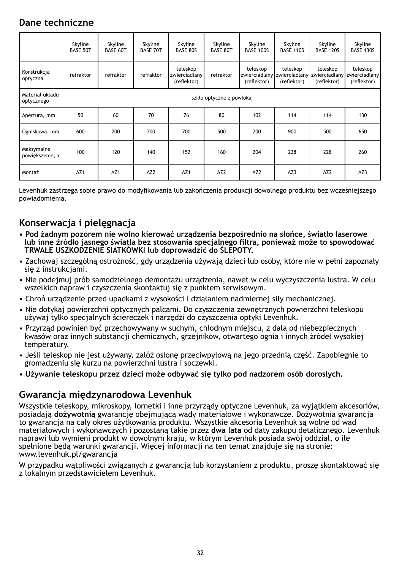#### **Dane techniczne**

|                               | Skyline<br><b>BASE 50T</b> | Skyline<br><b>BASE 60T</b> | Skyline<br><b>BASE 70T</b> | Skyline<br>BASE 80S                      | Skyline<br><b>BASE 80T</b> | Skyline<br><b>BASE 100S</b> | Skyline<br><b>BASE 110S</b>                            | Skyline<br><b>BASE 120S</b> | Skyline<br><b>BASE 130S</b>                            |  |
|-------------------------------|----------------------------|----------------------------|----------------------------|------------------------------------------|----------------------------|-----------------------------|--------------------------------------------------------|-----------------------------|--------------------------------------------------------|--|
| Konstrukcja<br>optyczna       | refraktor                  | refraktor                  | refraktor                  | teleskop<br>zwierciadlany<br>(reflektor) | refraktor                  | teleskop<br>(reflektor)     | teleskop<br>zwierciadlany zwierciadlany<br>(reflektor) | teleskop<br>(reflektor)     | teleskop<br>zwierciadlany zwierciadlany<br>(reflektor) |  |
| Materiał układu<br>optycznego |                            | szkło optyczne z powłoką   |                            |                                          |                            |                             |                                                        |                             |                                                        |  |
| Apertura, mm                  | 50                         | 60                         | 70                         | 76                                       | 80                         | 102                         | 114                                                    | 114                         | 130                                                    |  |
| Ogniskowa, mm                 | 600                        | 700                        | 700                        | 700                                      | 500                        | 700                         | 900                                                    | 500                         | 650                                                    |  |
| Maksymalne<br>powiększenie, x | 100                        | 120                        | 140                        | 152                                      | 160                        | 204                         | 228                                                    | 228                         | 260                                                    |  |
| Montaż                        | AZ <sub>1</sub>            | AZ <sub>1</sub>            | AZ <sub>2</sub>            | AZ1                                      | AZ <sub>2</sub>            | AZ <sub>2</sub>             | AZ3                                                    | AZ <sub>2</sub>             | AZ3                                                    |  |

Levenhuk zastrzega sobie prawo do modyfikowania lub zakończenia produkcji dowolnego produktu bez wcześniejszego powiadomienia.

#### **Konserwacja i pielęgnacja**

- **Pod żadnym pozorem nie wolno kierować urządzenia bezpośrednio na słońce, światło laserowe lub inne źródło jasnego światła bez stosowania specjalnego filtra, ponieważ może to spowodować TRWAŁE USZKODZENIE SIATKÓWKI lub doprowadzić do ŚLEPOTY.**
- Zachowaj szczególną ostrożność, gdy urządzenia używają dzieci lub osoby, które nie w pełni zapoznały się z instrukcjami.
- Nie podejmuj prób samodzielnego demontażu urządzenia, nawet w celu wyczyszczenia lustra. W celu wszelkich napraw i czyszczenia skontaktuj się z punktem serwisowym.
- Chroń urządzenie przed upadkami z wysokości i działaniem nadmiernej siły mechanicznej.
- Nie dotykaj powierzchni optycznych palcami. Do czyszczenia zewnętrznych powierzchni teleskopu używaj tylko specjalnych ściereczek i narzędzi do czyszczenia optyki Levenhuk.
- Przyrząd powinien być przechowywany w suchym, chłodnym miejscu, z dala od niebezpiecznych kwasów oraz innych substancji chemicznych, grzejników, otwartego ognia i innych źródeł wysokiej temperatury.
- Jeśli teleskop nie jest używany, załóż osłonę przeciwpyłową na jego przednią część. Zapobiegnie to gromadzeniu się kurzu na powierzchni lustra i soczewki.
- **Używanie teleskopu przez dzieci może odbywać się tylko pod nadzorem osób dorosłych.**

#### **Gwarancja międzynarodowa Levenhuk**

Wszystkie teleskopy, mikroskopy, lornetki i inne przyrządy optyczne Levenhuk, za wyjątkiem akcesoriów, posiadają **dożywotnią** gwarancję obejmującą wady materiałowe i wykonawcze. Dożywotnia gwarancja to gwarancja na cały okres użytkowania produktu. Wszystkie akcesoria Levenhuk są wolne od wad materiałowych i wykonawczych i pozostaną takie przez **dwa lata** od daty zakupu detalicznego. Levenhuk naprawi lub wymieni produkt w dowolnym kraju, w którym Levenhuk posiada swój oddział, o ile spełnione będą warunki gwarancji. Więcej informacji na ten temat znajduje się na stronie: www.levenhuk.pl/gwarancja

W przypadku wątpliwości związanych z gwarancją lub korzystaniem z produktu, proszę skontaktować się z lokalnym przedstawicielem Levenhuk.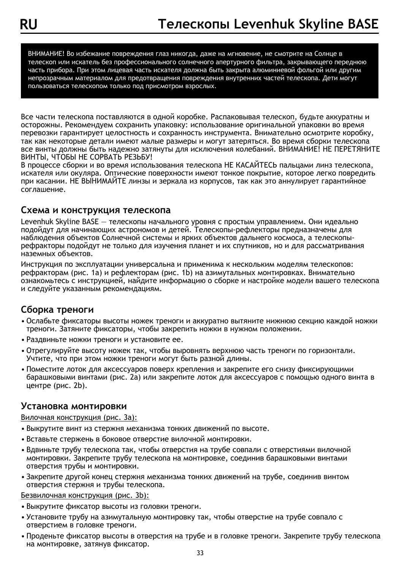ВНИМАНИЕ! Во избежание повреждения глаз никогда, даже на мгновение, не смотрите на Солнце в телескоп или искатель без профессионального солнечного апертурного фильтра, закрывающего переднюю часть прибора. При этом лицевая часть искателя должна быть закрыта алюминиевой фольгой или другим непрозрачным материалом для предотвращения повреждения внутренних частей телескопа. Дети могут пользоваться телескопом только под присмотром взрослых.

Все части телескопа поставляются в одной коробке. Распаковывая телескоп, будьте аккуратны и осторожны. Рекомендуем сохранить упаковку: использование оригинальной упаковки во время перевозки гарантирует целостность и сохранность инструмента. Внимательно осмотрите коробку, так как некоторые детали имеют малые размеры и могут затеряться. Во время сборки телескопа все винты должны быть надежно затянуты для исключения колебаний. ВНИМАНИЕ! НЕ ПЕРЕТЯНИТЕ ВИНТЫ, ЧТОБЫ НЕ СОРВАТЬ РЕЗЬБУ!

В процессе сборки и во время использования телескопа НЕ КАСАЙТЕСЬ пальцами линз телескопа, искателя или окуляра. Оптические поверхности имеют тонкое покрытие, которое легко повредить при касании. НЕ ВЫНИМАЙТЕ линзы и зеркала из корпусов, так как это аннулирует гарантийное соглашение.

#### **Схема и конструкция телескопа**

Levenhuk Skyline BASE — телескопы начального уровня с простым управлением. Они идеально подойдут для начинающих астрономов и детей. Телескопы-рефлекторы предназначены для наблюдения объектов Солнечной системы и ярких объектов дальнего космоса, а телескопырефракторы подойдут не только для изучения планет и их спутников, но и для рассматривания наземных объектов.

Инструкция по эксплуатации универсальна и применима к нескольким моделям телескопов: рефракторам (рис. 1a) и рефлекторам (рис. 1b) на азимутальных монтировках. Внимательно ознакомьтесь с инструкцией, найдите информацию о сборке и настройке модели вашего телескопа и следуйте указанным рекомендациям.

#### **Сборка треноги**

- Ослабьте фиксаторы высоты ножек треноги и аккуратно вытяните нижнюю секцию каждой ножки треноги. Затяните фиксаторы, чтобы закрепить ножки в нужном положении.
- Раздвиньте ножки треноги и установите ее.
- Отрегулируйте высоту ножек так, чтобы выровнять верхнюю часть треноги по горизонтали. Учтите, что при этом ножки треноги могут быть разной длины.
- Поместите лоток для аксессуаров поверх крепления и закрепите его снизу фиксирующими барашковыми винтами (рис. 2a) или закрепите лоток для аксессуаров с помощью одного винта в центре (рис. 2b).

#### **Установка монтировки**

#### Вилочная конструкция (рис. 3a):

- Выкрутите винт из стержня механизма тонких движений по высоте.
- Вставьте стержень в боковое отверстие вилочной монтировки.
- Вдвиньте трубу телескопа так, чтобы отверстия на трубе совпали с отверстиями вилочной монтировки. Закрепите трубу телескопа на монтировке, соединив барашковыми винтами отверстия трубы и монтировки.
- Закрепите другой конец стержня механизма тонких движений на трубе, соединив винтом отверстия стержня и трубы телескопа.

#### Безвилочная конструкция (рис. 3b):

- Выкрутите фиксатор высоты из головки треноги.
- Установите трубу на азимутальную монтировку так, чтобы отверстие на трубе совпало с отверстием в головке треноги.
- Проденьте фиксатор высоты в отверстия на трубе и в головке треноги. Закрепите трубу телескопа на монтировке, затянув фиксатор.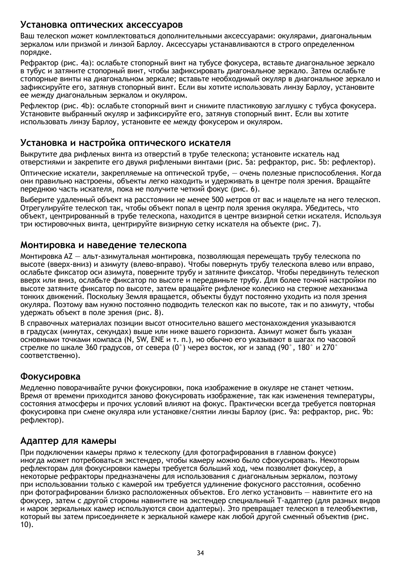#### **Установка оптических аксессуаров**

Ваш телескоп может комплектоваться дополнительными аксессуарами: окулярами, диагональным зеркалом или призмой и линзой Барлоу. Аксессуары устанавливаются в строго определенном порядке.

Рефрактор (рис. 4a): ослабьте стопорный винт на тубусе фокусера, вставьте диагональное зеркало в тубус и затяните стопорный винт, чтобы зафиксировать диагональное зеркало. Затем ослабьте стопорные винты на диагональном зеркале; вставьте необходимый окуляр в диагональное зеркало и зафиксируйте его, затянув стопорный винт. Если вы хотите использовать линзу Барлоу, установите ее между диагональным зеркалом и окуляром.

Рефлектор (рис. 4b): ослабьте стопорный винт и снимите пластиковую заглушку с тубуса фокусера. Установите выбранный окуляр и зафиксируйте его, затянув стопорный винт. Если вы хотите использовать линзу Барлоу, установите ее между фокусером и окуляром.

#### **Установка и настройка оптического искателя**

Выкрутите два рифленых винта из отверстий в трубе телескопа; установите искатель над отверстиями и закрепите его двумя рифлеными винтами (рис. 5a: рефрактор, рис. 5b: рефлектор).

Оптические искатели, закрепляемые на оптической трубе, — очень полезные приспособления. Когда они правильно настроены, объекты легко находить и удерживать в центре поля зрения. Вращайте переднюю часть искателя, пока не получите четкий фокус (рис. 6).

Выберите удаленный объект на расстоянии не менее 500 метров от вас и нацельте на него телескоп. Отрегулируйте телескоп так, чтобы объект попал в центр поля зрения окуляра. Убедитесь, что объект, центрированный в трубе телескопа, находится в центре визирной сетки искателя. Используя три юстировочных винта, центрируйте визирную сетку искателя на объекте (рис. 7).

#### **Монтировка и наведение телескопа**

Монтировка AZ — альт-азимутальная монтировка, позволяющая перемещать трубу телескопа по высоте (вверх-вниз) и азимуту (влево-вправо). Чтобы повернуть трубу телескопа влево или вправо, ослабьте фиксатор оси азимута, поверните трубу и затяните фиксатор. Чтобы передвинуть телескоп вверх или вниз, ослабьте фиксатор по высоте и передвиньте трубу. Для более точной настройки по высоте затяните фиксатор по высоте, затем вращайте рифленое колесико на стержне механизма тонких движений. Поскольку Земля вращается, объекты будут постоянно уходить из поля зрения окуляра. Поэтому вам нужно постоянно подводить телескоп как по высоте, так и по азимуту, чтобы удержать объект в поле зрения (рис. 8).

В справочных материалах позиции высот относительно вашего местонахождения указываются в градусах (минутах, секундах) выше или ниже вашего горизонта. Азимут может быть указан основными точками компаса (N, SW, ENE и т. п.), но обычно его указывают в шагах по часовой стрелке по шкале 360 градусов, от севера (0°) через восток, юг и запад (90°, 180° и 270° соответственно).

#### **Фокусировка**

Медленно поворачивайте ручки фокусировки, пока изображение в окуляре не станет четким. Время от времени приходится заново фокусировать изображение, так как изменения температуры, состояния атмосферы и прочих условий влияют на фокус. Практически всегда требуется повторная фокусировка при смене окуляра или установке/снятии линзы Барлоу (рис. 9a: рефрактор, рис. 9b: рефлектор).

#### **Адаптер для камеры**

При подключении камеры прямо к телескопу (для фотографирования в главном фокусе) иногда может потребоваться экстендер, чтобы камеру можно было сфокусировать. Некоторым рефлекторам для фокусировки камеры требуется больший ход, чем позволяет фокусер, а некоторые рефракторы предназначены для использования с диагональным зеркалом, поэтому при использовании только с камерой им требуется удлинение фокусного расстояния, особенно при фотографировании близко расположенных объектов. Его легко установить — навинтите его на фокусер, затем с другой стороны навинтите на экстендер специальный Т-адаптер (для разных видов и марок зеркальных камер используются свои адаптеры). Это превращает телескоп в телеобъектив, который вы затем присоединяете к зеркальной камере как любой другой сменный объектив (рис. 10).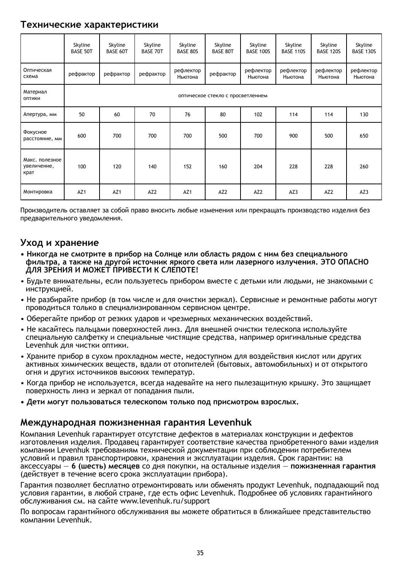#### **Технические характеристики**

|                                       | Skyline<br><b>BASE 50T</b> | Skyline<br><b>BASE 60T</b>        | Skyline<br><b>BASE 70T</b> | Skyline<br>BASE 80S  | Skyline<br><b>BASE 80T</b> | Skyline<br><b>BASE 100S</b> | Skyline<br><b>BASE 110S</b> | Skyline<br><b>BASE 120S</b> | Skyline<br><b>BASE 130S</b> |  |
|---------------------------------------|----------------------------|-----------------------------------|----------------------------|----------------------|----------------------------|-----------------------------|-----------------------------|-----------------------------|-----------------------------|--|
| Оптическая<br>схема                   | рефрактор                  | рефрактор                         | рефрактор                  | рефлектор<br>Ньютона | рефрактор                  | рефлектор<br>Ньютона        | рефлектор<br>Ньютона        | рефлектор<br>Ньютона        | рефлектор<br>Ньютона        |  |
| Материал<br>ОПТИКИ                    |                            | оптическое стекло с просветлением |                            |                      |                            |                             |                             |                             |                             |  |
| Апертура, мм                          | 50                         | 60                                | 70                         | 76                   | 80                         | 102                         | 114                         | 114                         | 130                         |  |
| Фокусное<br>расстояние, мм            | 600                        | 700                               | 700                        | 700                  | 500                        | 700                         | 900                         | 500                         | 650                         |  |
| Макс, полезное<br>увеличение,<br>крат | 100                        | 120                               | 140                        | 152                  | 160                        | 204                         | 228                         | 228                         | 260                         |  |
| Монтировка                            | AZ <sub>1</sub>            | AZ <sub>1</sub>                   | AZ <sub>2</sub>            | AZ <sub>1</sub>      | AZ <sub>2</sub>            | AZ <sub>2</sub>             | AZ3                         | AZ <sub>2</sub>             | AZ3                         |  |

Производитель оставляет за собой право вносить любые изменения или прекращать производство изделия без предварительного уведомления.

#### **Уход и хранение**

- **Никогда не смотрите в прибор на Солнце или область рядом с ним без специального фильтра, а также на другой источник яркого света или лазерного излучения. ЭТО ОПАСНО ДЛЯ ЗРЕНИЯ И МОЖЕТ ПРИВЕСТИ К СЛЕПОТЕ!**
- Будьте внимательны, если пользуетесь прибором вместе с детьми или людьми, не знакомыми с инструкцией.
- Не разбирайте прибор (в том числе и для очистки зеркал). Сервисные и ремонтные работы могут проводиться только в специализированном сервисном центре.
- Оберегайте прибор от резких ударов и чрезмерных механических воздействий.
- Не касайтесь пальцами поверхностей линз. Для внешней очистки телескопа используйте специальную салфетку и специальные чистящие средства, например оригинальные средства Levenhuk для чистки оптики.
- Храните прибор в сухом прохладном месте, недоступном для воздействия кислот или других активных химических веществ, вдали от отопителей (бытовых, автомобильных) и от открытого огня и других источников высоких температур.
- Когда прибор не используется, всегда надевайте на него пылезащитную крышку. Это защищает поверхность линз и зеркал от попадания пыли.
- **Дети могут пользоваться телескопом только под присмотром взрослых.**

#### **Международная пожизненная гарантия Levenhuk**

Компания Levenhuk гарантирует отсутствие дефектов в материалах конструкции и дефектов изготовления изделия. Продавец гарантирует соответствие качества приобретенного вами изделия компании Levenhuk требованиям технической документации при соблюдении потребителем условий и правил транспортировки, хранения и эксплуатации изделия. Срок гарантии: на аксессуары — **6 (шесть) месяцев** со дня покупки, на остальные изделия — **пожизненная гарантия** (действует в течение всего срока эксплуатации прибора).

Гарантия позволяет бесплатно отремонтировать или обменять продукт Levenhuk, подпадающий под условия гарантии, в любой стране, где есть офис Levenhuk. Подробнее об условиях гарантийного обслуживания см. на сайте www.levenhuk.ru/support

По вопросам гарантийного обслуживания вы можете обратиться в ближайшее представительство компании Levenhuk.